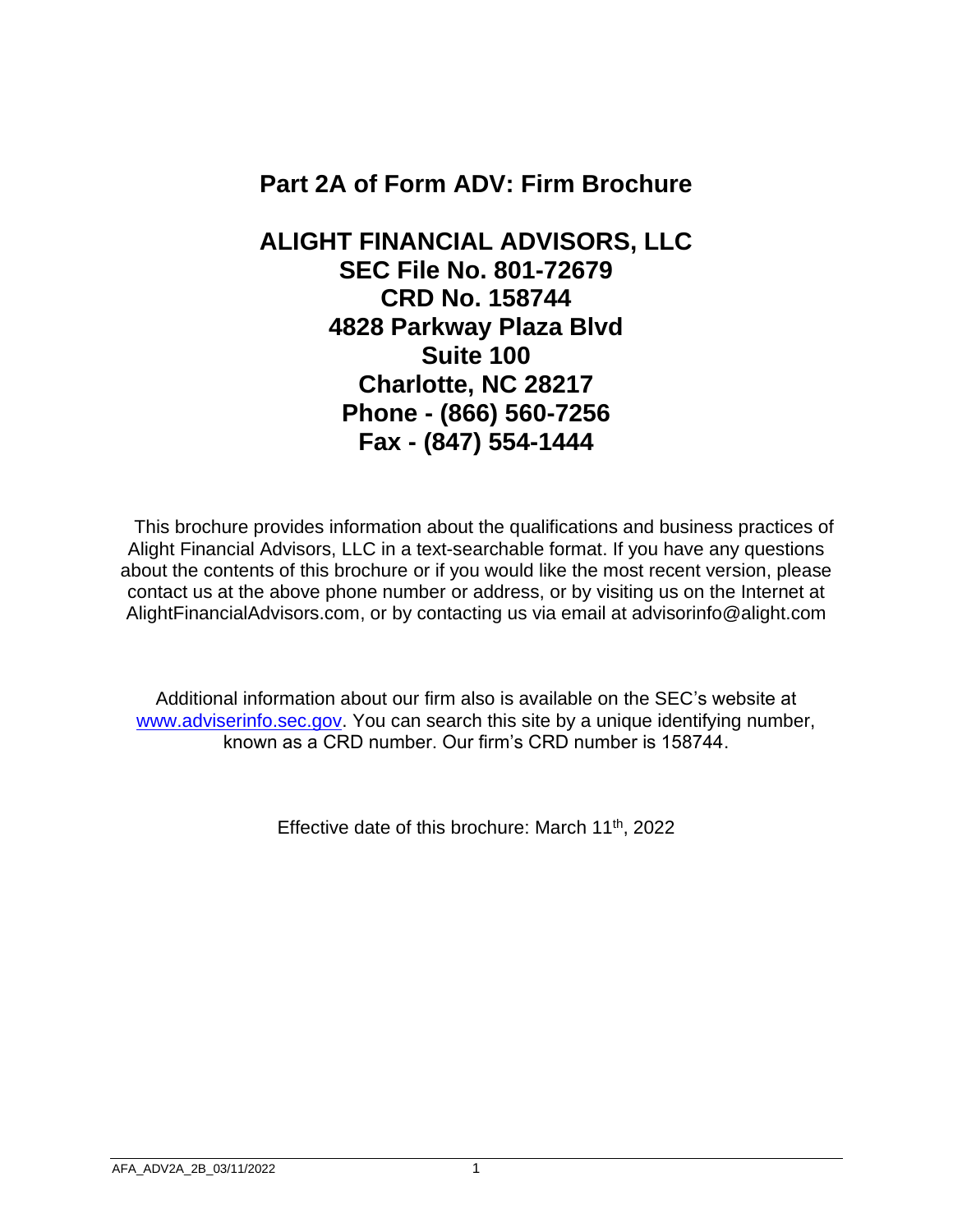## **Part 2A of Form ADV: Firm Brochure**

**ALIGHT FINANCIAL ADVISORS, LLC SEC File No. 801-72679 CRD No. 158744 4828 Parkway Plaza Blvd Suite 100 Charlotte, NC 28217 Phone - (866) 560-7256 Fax - (847) 554-1444**

 This brochure provides information about the qualifications and business practices of Alight Financial Advisors, LLC in a text-searchable format. If you have any questions about the contents of this brochure or if you would like the most recent version, please contact us at the above phone number or address, or by visiting us on the Internet at AlightFinancialAdvisors.com, or by contacting us via email at advisorinfo@alight.com

Additional information about our firm also is available on the SEC's website at [www.adviserinfo.sec.gov.](http://www.adviserinfo.sec.gov/) You can search this site by a unique identifying number, known as a CRD number. Our firm's CRD number is 158744.

Effective date of this brochure: March 11<sup>th</sup>, 2022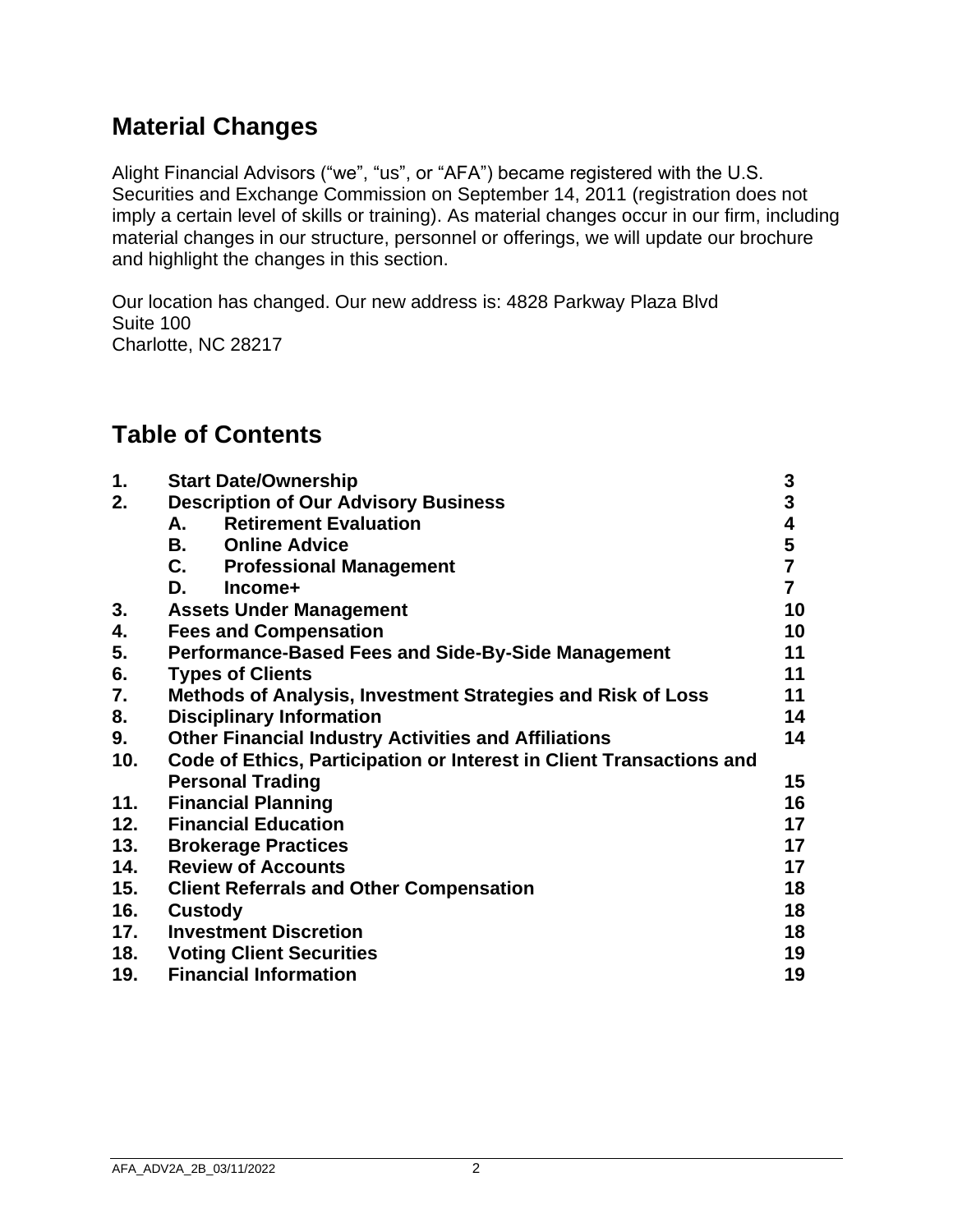## **Material Changes**

Alight Financial Advisors ("we", "us", or "AFA") became registered with the U.S. Securities and Exchange Commission on September 14, 2011 (registration does not imply a certain level of skills or training). As material changes occur in our firm, including material changes in our structure, personnel or offerings, we will update our brochure and highlight the changes in this section.

Our location has changed. Our new address is: 4828 Parkway Plaza Blvd Suite 100 Charlotte, NC 28217

## **Table of Contents**

| 1.  | <b>Start Date/Ownership</b>                                          | 3              |
|-----|----------------------------------------------------------------------|----------------|
| 2.  | <b>Description of Our Advisory Business</b>                          | 3              |
|     | <b>Retirement Evaluation</b><br>А.                                   | 4              |
|     | В.<br><b>Online Advice</b>                                           | 5              |
|     | C.<br><b>Professional Management</b>                                 | $\overline{7}$ |
|     | D.<br>Income+                                                        | $\overline{7}$ |
| 3.  | <b>Assets Under Management</b>                                       | 10             |
| 4.  | <b>Fees and Compensation</b>                                         | 10             |
| 5.  | <b>Performance-Based Fees and Side-By-Side Management</b>            | 11             |
| 6.  | <b>Types of Clients</b>                                              | 11             |
| 7.  | Methods of Analysis, Investment Strategies and Risk of Loss          | 11             |
| 8.  | <b>Disciplinary Information</b>                                      | 14             |
| 9.  | <b>Other Financial Industry Activities and Affiliations</b>          | 14             |
| 10. | Code of Ethics, Participation or Interest in Client Transactions and |                |
|     | <b>Personal Trading</b>                                              | 15             |
| 11. | <b>Financial Planning</b>                                            | 16             |
| 12. | <b>Financial Education</b>                                           | 17             |
| 13. | <b>Brokerage Practices</b>                                           | 17             |
| 14. | <b>Review of Accounts</b>                                            | 17             |
| 15. | <b>Client Referrals and Other Compensation</b>                       | 18             |
| 16. | <b>Custody</b>                                                       | 18             |
| 17. | <b>Investment Discretion</b>                                         | 18             |
| 18. | <b>Voting Client Securities</b>                                      | 19             |
| 19. | <b>Financial Information</b>                                         | 19             |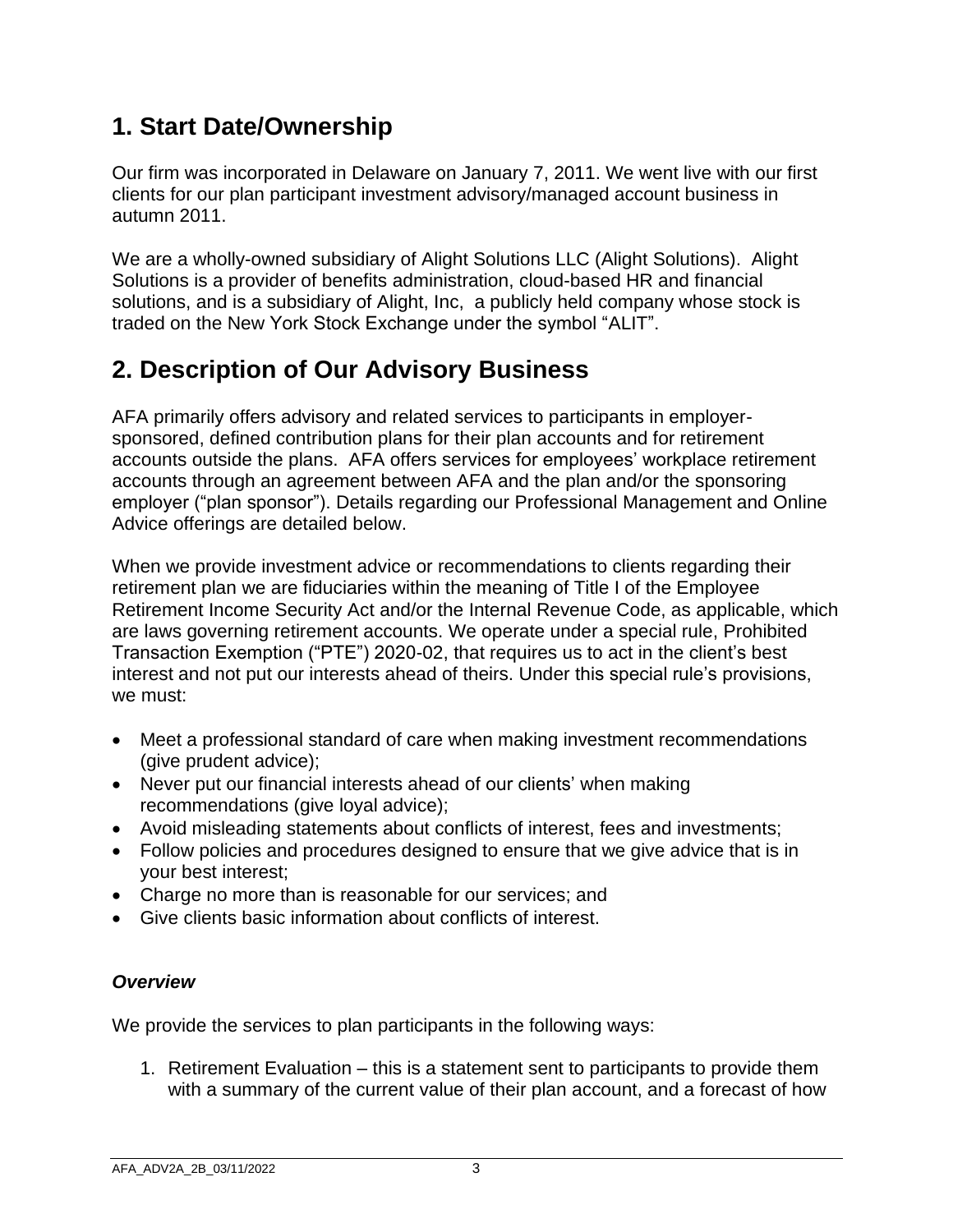# **1. Start Date/Ownership**

Our firm was incorporated in Delaware on January 7, 2011. We went live with our first clients for our plan participant investment advisory/managed account business in autumn 2011.

We are a wholly-owned subsidiary of Alight Solutions LLC (Alight Solutions). Alight Solutions is a provider of benefits administration, cloud-based HR and financial solutions, and is a subsidiary of Alight, Inc, a publicly held company whose stock is traded on the New York Stock Exchange under the symbol "ALIT".

# **2. Description of Our Advisory Business**

AFA primarily offers advisory and related services to participants in employersponsored, defined contribution plans for their plan accounts and for retirement accounts outside the plans. AFA offers services for employees' workplace retirement accounts through an agreement between AFA and the plan and/or the sponsoring employer ("plan sponsor"). Details regarding our Professional Management and Online Advice offerings are detailed below.

When we provide investment advice or recommendations to clients regarding their retirement plan we are fiduciaries within the meaning of Title I of the Employee Retirement Income Security Act and/or the Internal Revenue Code, as applicable, which are laws governing retirement accounts. We operate under a special rule, Prohibited Transaction Exemption ("PTE") 2020-02, that requires us to act in the client's best interest and not put our interests ahead of theirs. Under this special rule's provisions, we must:

- Meet a professional standard of care when making investment recommendations (give prudent advice);
- Never put our financial interests ahead of our clients' when making recommendations (give loyal advice);
- Avoid misleading statements about conflicts of interest, fees and investments;
- Follow policies and procedures designed to ensure that we give advice that is in your best interest;
- Charge no more than is reasonable for our services; and
- Give clients basic information about conflicts of interest.

## *Overview*

We provide the services to plan participants in the following ways:

1. Retirement Evaluation – this is a statement sent to participants to provide them with a summary of the current value of their plan account, and a forecast of how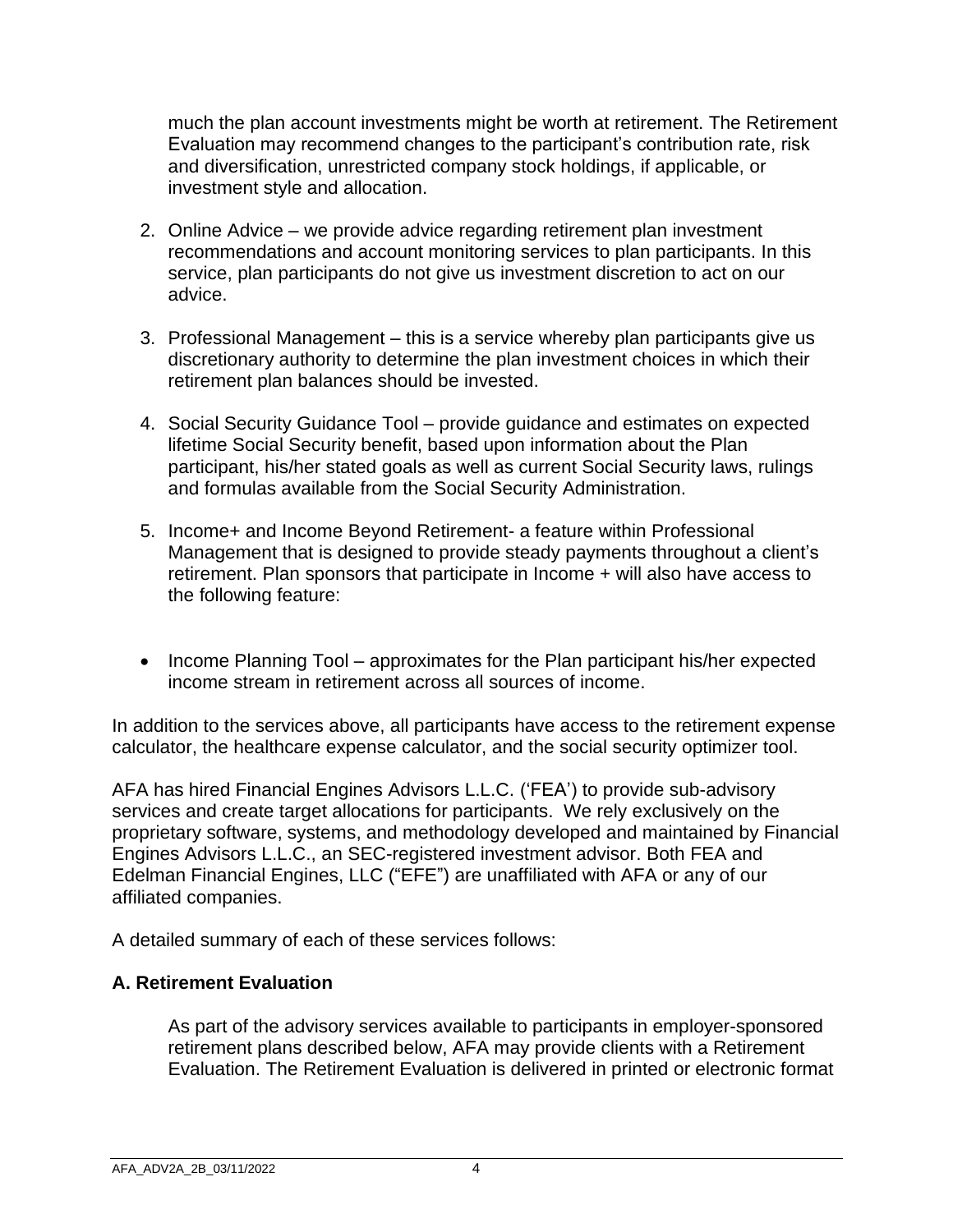much the plan account investments might be worth at retirement. The Retirement Evaluation may recommend changes to the participant's contribution rate, risk and diversification, unrestricted company stock holdings, if applicable, or investment style and allocation.

- 2. Online Advice we provide advice regarding retirement plan investment recommendations and account monitoring services to plan participants. In this service, plan participants do not give us investment discretion to act on our advice.
- 3. Professional Management this is a service whereby plan participants give us discretionary authority to determine the plan investment choices in which their retirement plan balances should be invested.
- 4. Social Security Guidance Tool provide guidance and estimates on expected lifetime Social Security benefit, based upon information about the Plan participant, his/her stated goals as well as current Social Security laws, rulings and formulas available from the Social Security Administration.
- 5. Income+ and Income Beyond Retirement- a feature within Professional Management that is designed to provide steady payments throughout a client's retirement. Plan sponsors that participate in Income + will also have access to the following feature:
- Income Planning Tool approximates for the Plan participant his/her expected income stream in retirement across all sources of income.

In addition to the services above, all participants have access to the retirement expense calculator, the healthcare expense calculator, and the social security optimizer tool.

AFA has hired Financial Engines Advisors L.L.C. ('FEA') to provide sub-advisory services and create target allocations for participants. We rely exclusively on the proprietary software, systems, and methodology developed and maintained by Financial Engines Advisors L.L.C., an SEC-registered investment advisor. Both FEA and Edelman Financial Engines, LLC ("EFE") are unaffiliated with AFA or any of our affiliated companies.

A detailed summary of each of these services follows:

### **A. Retirement Evaluation**

As part of the advisory services available to participants in employer-sponsored retirement plans described below, AFA may provide clients with a Retirement Evaluation. The Retirement Evaluation is delivered in printed or electronic format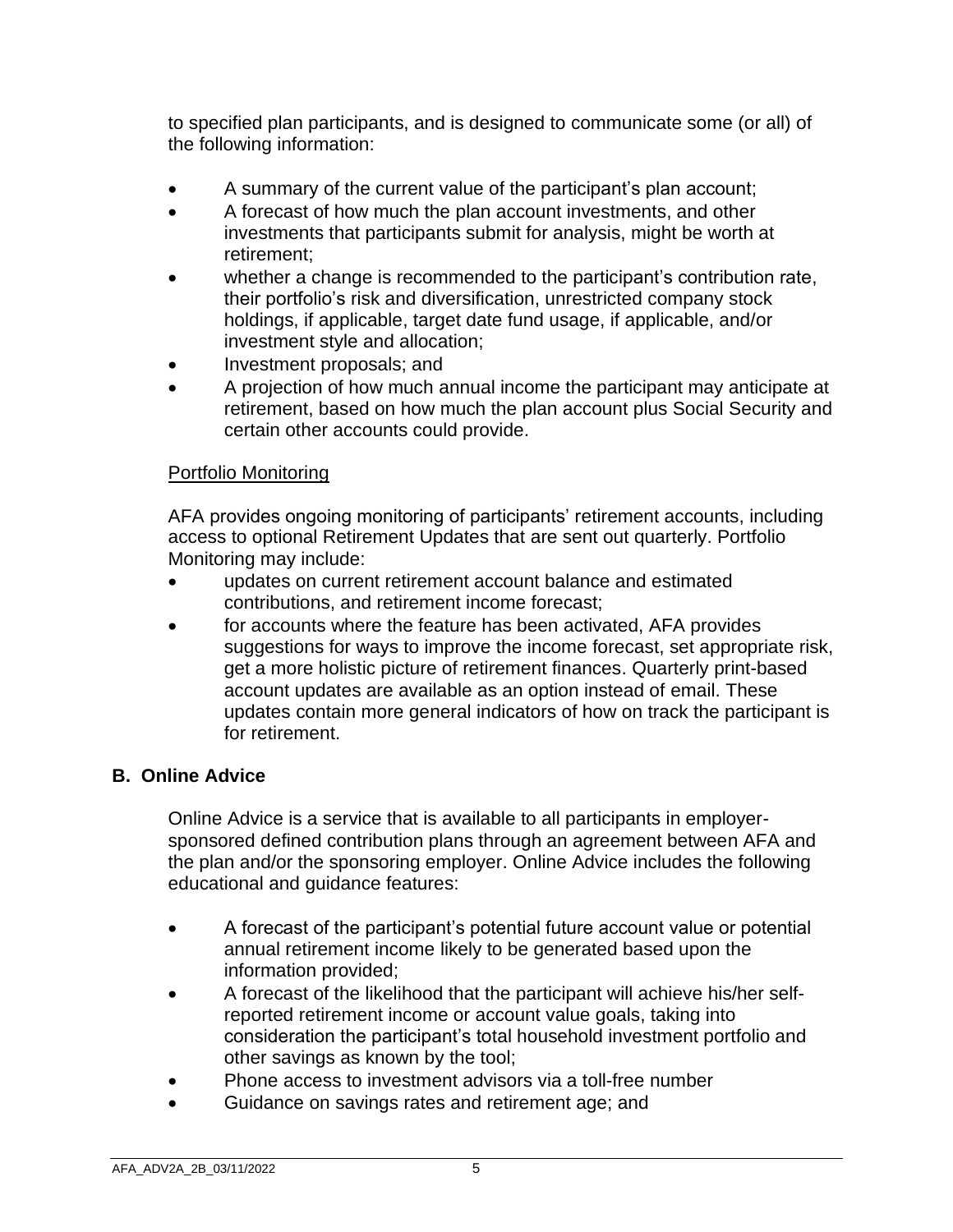to specified plan participants, and is designed to communicate some (or all) of the following information:

- A summary of the current value of the participant's plan account;
- A forecast of how much the plan account investments, and other investments that participants submit for analysis, might be worth at retirement;
- whether a change is recommended to the participant's contribution rate, their portfolio's risk and diversification, unrestricted company stock holdings, if applicable, target date fund usage, if applicable, and/or investment style and allocation;
- Investment proposals; and
- A projection of how much annual income the participant may anticipate at retirement, based on how much the plan account plus Social Security and certain other accounts could provide.

### Portfolio Monitoring

AFA provides ongoing monitoring of participants' retirement accounts, including access to optional Retirement Updates that are sent out quarterly. Portfolio Monitoring may include:

- updates on current retirement account balance and estimated contributions, and retirement income forecast;
- for accounts where the feature has been activated, AFA provides suggestions for ways to improve the income forecast, set appropriate risk, get a more holistic picture of retirement finances. Quarterly print-based account updates are available as an option instead of email. These updates contain more general indicators of how on track the participant is for retirement.

### **B. Online Advice**

Online Advice is a service that is available to all participants in employersponsored defined contribution plans through an agreement between AFA and the plan and/or the sponsoring employer. Online Advice includes the following educational and guidance features:

- A forecast of the participant's potential future account value or potential annual retirement income likely to be generated based upon the information provided;
- A forecast of the likelihood that the participant will achieve his/her selfreported retirement income or account value goals, taking into consideration the participant's total household investment portfolio and other savings as known by the tool;
- Phone access to investment advisors via a toll-free number
- Guidance on savings rates and retirement age; and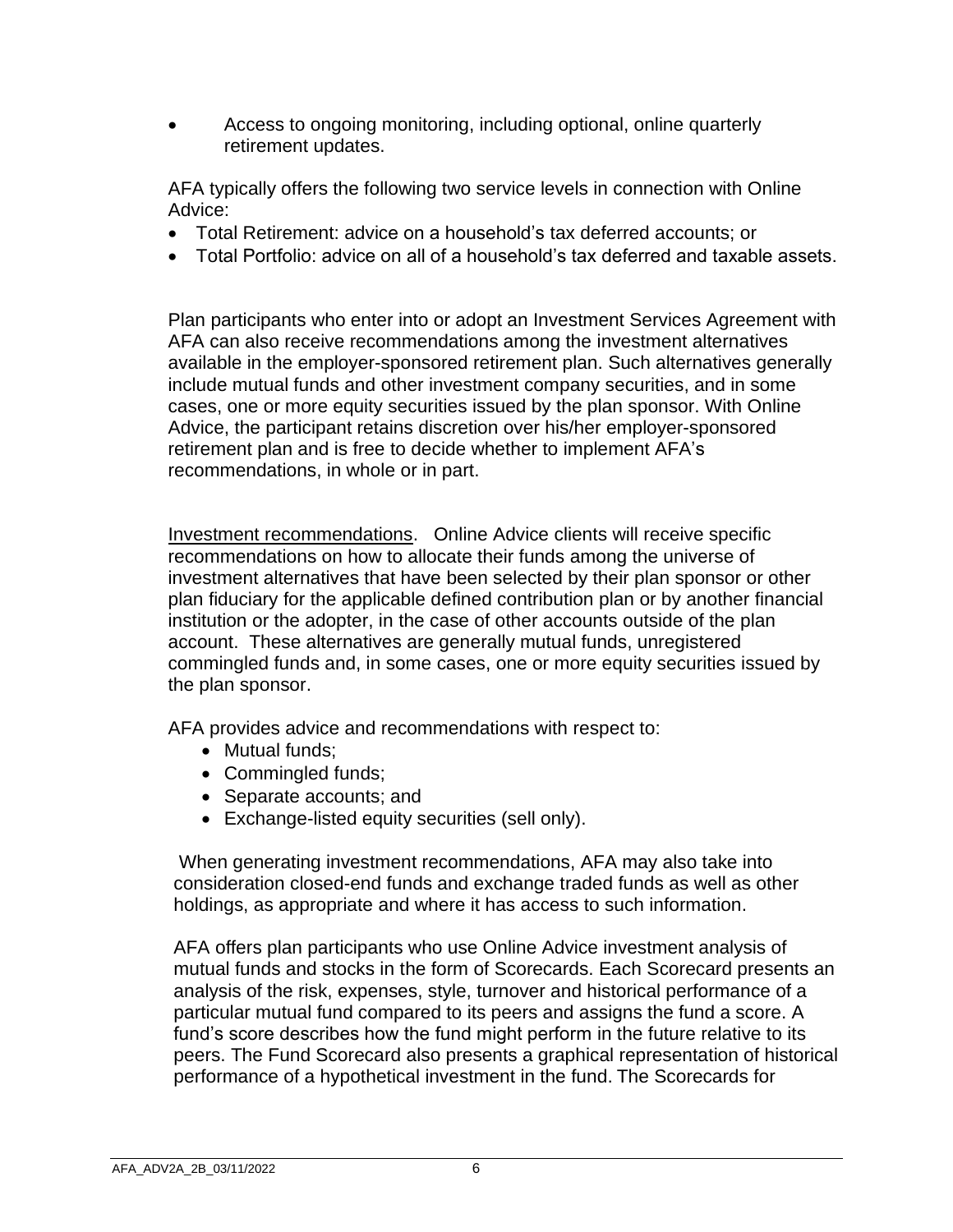• Access to ongoing monitoring, including optional, online quarterly retirement updates.

AFA typically offers the following two service levels in connection with Online Advice:

- Total Retirement: advice on a household's tax deferred accounts; or
- Total Portfolio: advice on all of a household's tax deferred and taxable assets.

Plan participants who enter into or adopt an Investment Services Agreement with AFA can also receive recommendations among the investment alternatives available in the employer-sponsored retirement plan. Such alternatives generally include mutual funds and other investment company securities, and in some cases, one or more equity securities issued by the plan sponsor. With Online Advice, the participant retains discretion over his/her employer-sponsored retirement plan and is free to decide whether to implement AFA's recommendations, in whole or in part.

Investment recommendations. Online Advice clients will receive specific recommendations on how to allocate their funds among the universe of investment alternatives that have been selected by their plan sponsor or other plan fiduciary for the applicable defined contribution plan or by another financial institution or the adopter, in the case of other accounts outside of the plan account. These alternatives are generally mutual funds, unregistered commingled funds and, in some cases, one or more equity securities issued by the plan sponsor.

AFA provides advice and recommendations with respect to:

- Mutual funds;
- Commingled funds;
- Separate accounts; and
- Exchange-listed equity securities (sell only).

When generating investment recommendations, AFA may also take into consideration closed-end funds and exchange traded funds as well as other holdings, as appropriate and where it has access to such information.

AFA offers plan participants who use Online Advice investment analysis of mutual funds and stocks in the form of Scorecards. Each Scorecard presents an analysis of the risk, expenses, style, turnover and historical performance of a particular mutual fund compared to its peers and assigns the fund a score. A fund's score describes how the fund might perform in the future relative to its peers. The Fund Scorecard also presents a graphical representation of historical performance of a hypothetical investment in the fund. The Scorecards for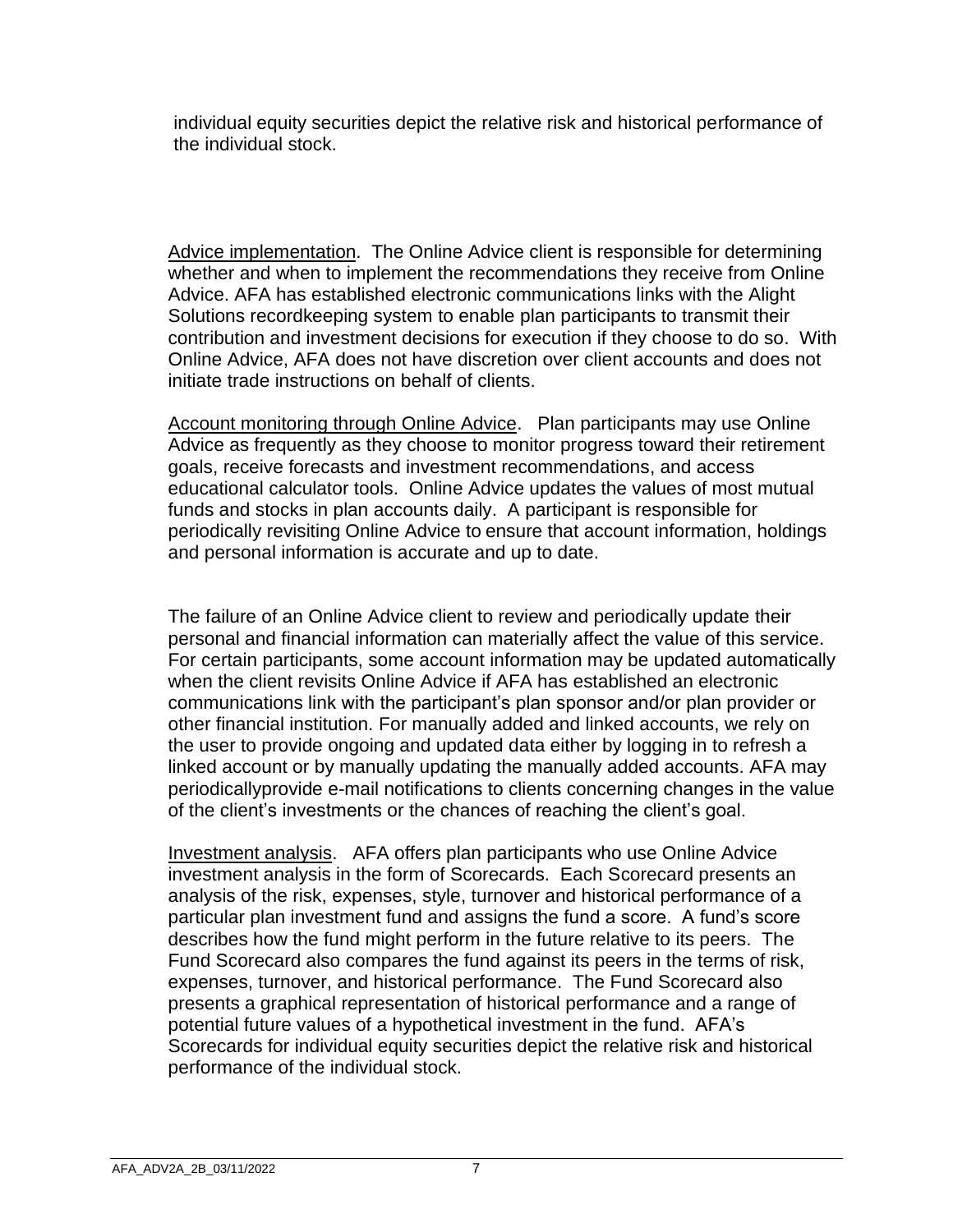individual equity securities depict the relative risk and historical performance of the individual stock.

Advice implementation. The Online Advice client is responsible for determining whether and when to implement the recommendations they receive from Online Advice. AFA has established electronic communications links with the Alight Solutions recordkeeping system to enable plan participants to transmit their contribution and investment decisions for execution if they choose to do so. With Online Advice, AFA does not have discretion over client accounts and does not initiate trade instructions on behalf of clients.

Account monitoring through Online Advice. Plan participants may use Online Advice as frequently as they choose to monitor progress toward their retirement goals, receive forecasts and investment recommendations, and access educational calculator tools. Online Advice updates the values of most mutual funds and stocks in plan accounts daily. A participant is responsible for periodically revisiting Online Advice to ensure that account information, holdings and personal information is accurate and up to date.

The failure of an Online Advice client to review and periodically update their personal and financial information can materially affect the value of this service. For certain participants, some account information may be updated automatically when the client revisits Online Advice if AFA has established an electronic communications link with the participant's plan sponsor and/or plan provider or other financial institution. For manually added and linked accounts, we rely on the user to provide ongoing and updated data either by logging in to refresh a linked account or by manually updating the manually added accounts. AFA may periodicallyprovide e-mail notifications to clients concerning changes in the value of the client's investments or the chances of reaching the client's goal.

Investment analysis. AFA offers plan participants who use Online Advice investment analysis in the form of Scorecards. Each Scorecard presents an analysis of the risk, expenses, style, turnover and historical performance of a particular plan investment fund and assigns the fund a score. A fund's score describes how the fund might perform in the future relative to its peers. The Fund Scorecard also compares the fund against its peers in the terms of risk, expenses, turnover, and historical performance. The Fund Scorecard also presents a graphical representation of historical performance and a range of potential future values of a hypothetical investment in the fund. AFA's Scorecards for individual equity securities depict the relative risk and historical performance of the individual stock.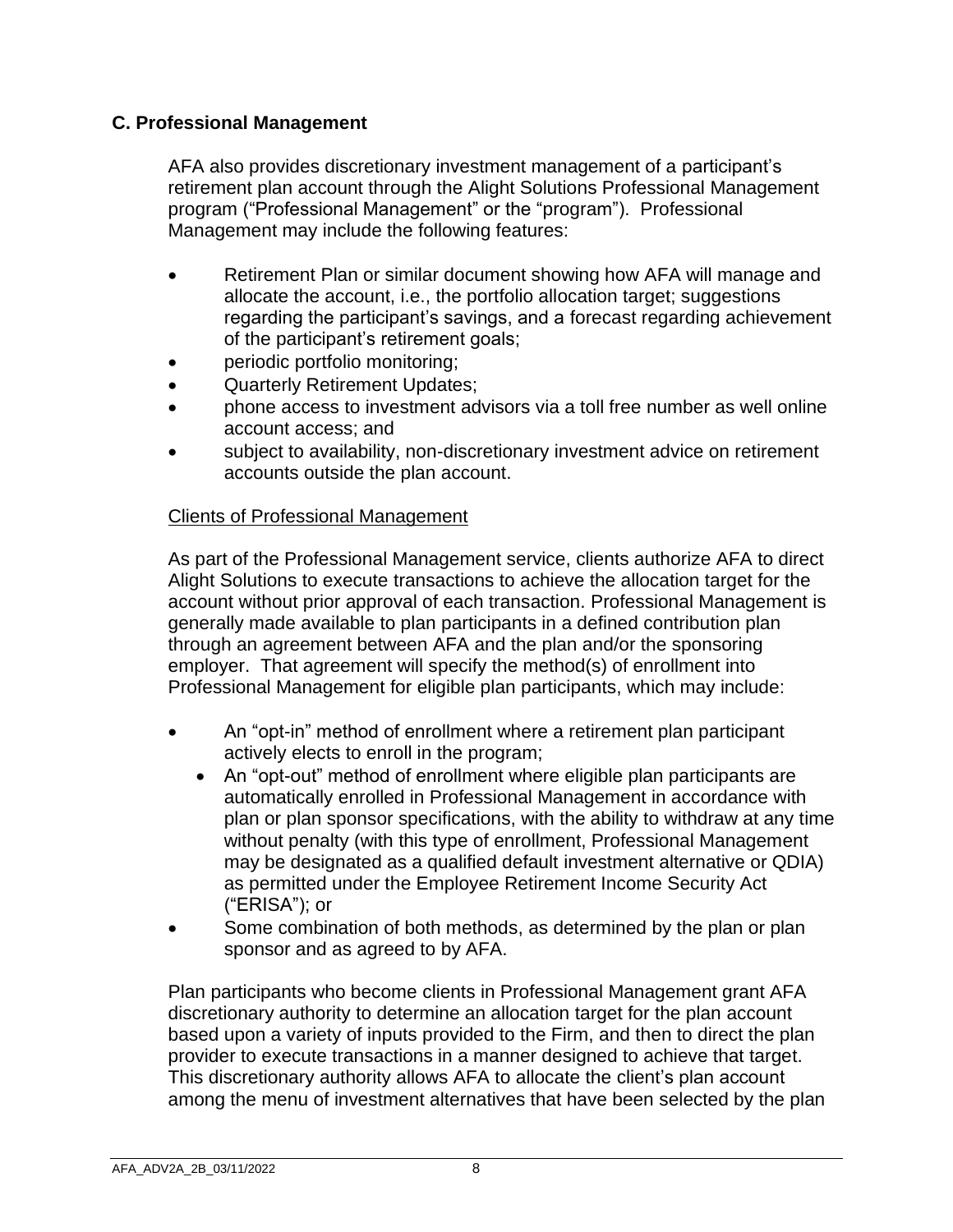### **C. Professional Management**

AFA also provides discretionary investment management of a participant's retirement plan account through the Alight Solutions Professional Management program ("Professional Management" or the "program"). Professional Management may include the following features:

- Retirement Plan or similar document showing how AFA will manage and allocate the account, i.e., the portfolio allocation target; suggestions regarding the participant's savings, and a forecast regarding achievement of the participant's retirement goals;
- periodic portfolio monitoring;
- Quarterly Retirement Updates;
- phone access to investment advisors via a toll free number as well online account access; and
- subject to availability, non-discretionary investment advice on retirement accounts outside the plan account.

### Clients of Professional Management

As part of the Professional Management service, clients authorize AFA to direct Alight Solutions to execute transactions to achieve the allocation target for the account without prior approval of each transaction. Professional Management is generally made available to plan participants in a defined contribution plan through an agreement between AFA and the plan and/or the sponsoring employer. That agreement will specify the method(s) of enrollment into Professional Management for eligible plan participants, which may include:

- An "opt-in" method of enrollment where a retirement plan participant actively elects to enroll in the program;
	- An "opt-out" method of enrollment where eligible plan participants are automatically enrolled in Professional Management in accordance with plan or plan sponsor specifications, with the ability to withdraw at any time without penalty (with this type of enrollment, Professional Management may be designated as a qualified default investment alternative or QDIA) as permitted under the Employee Retirement Income Security Act ("ERISA"); or
- Some combination of both methods, as determined by the plan or plan sponsor and as agreed to by AFA.

Plan participants who become clients in Professional Management grant AFA discretionary authority to determine an allocation target for the plan account based upon a variety of inputs provided to the Firm, and then to direct the plan provider to execute transactions in a manner designed to achieve that target. This discretionary authority allows AFA to allocate the client's plan account among the menu of investment alternatives that have been selected by the plan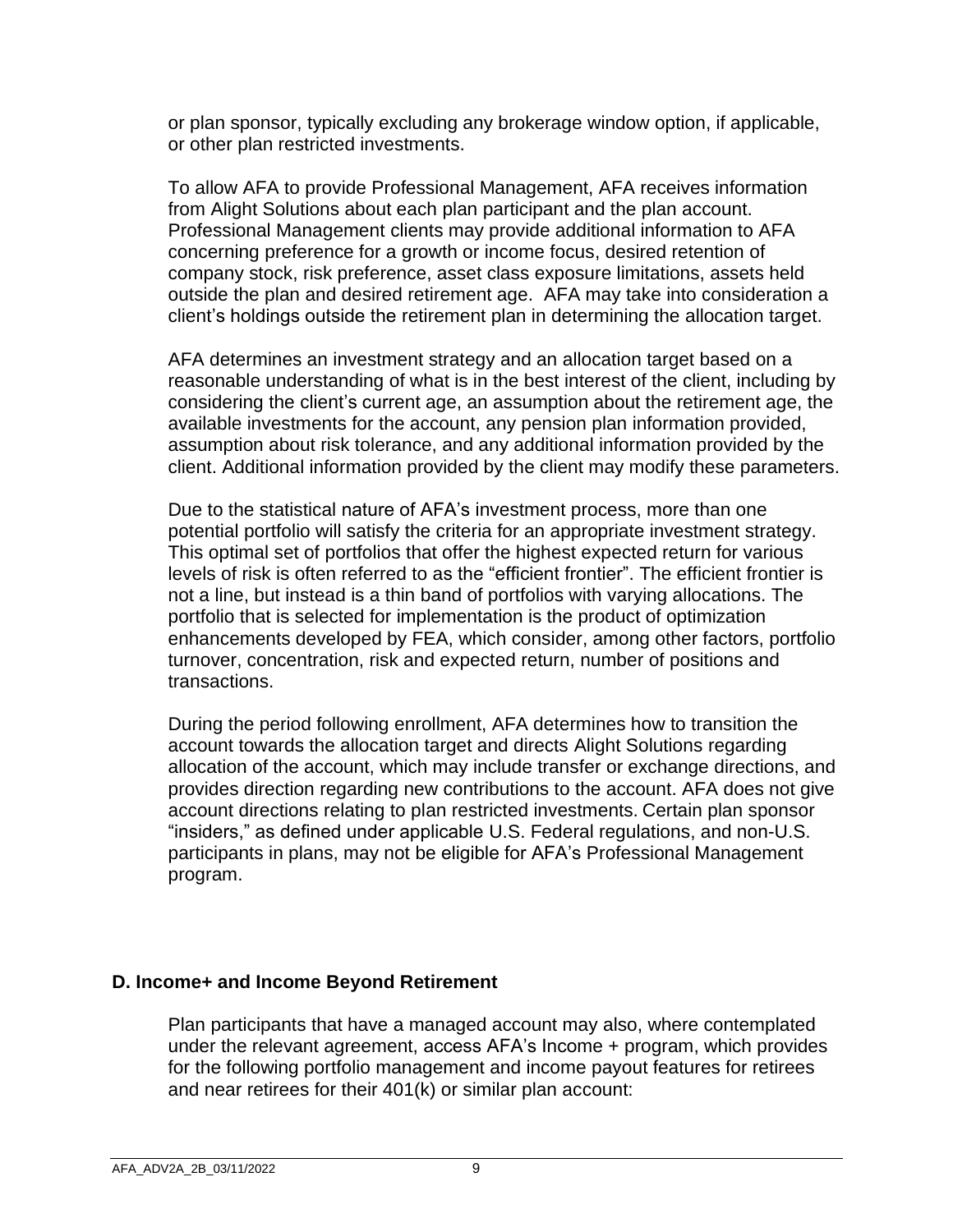or plan sponsor, typically excluding any brokerage window option, if applicable, or other plan restricted investments.

To allow AFA to provide Professional Management, AFA receives information from Alight Solutions about each plan participant and the plan account. Professional Management clients may provide additional information to AFA concerning preference for a growth or income focus, desired retention of company stock, risk preference, asset class exposure limitations, assets held outside the plan and desired retirement age. AFA may take into consideration a client's holdings outside the retirement plan in determining the allocation target.

AFA determines an investment strategy and an allocation target based on a reasonable understanding of what is in the best interest of the client, including by considering the client's current age, an assumption about the retirement age, the available investments for the account, any pension plan information provided, assumption about risk tolerance, and any additional information provided by the client. Additional information provided by the client may modify these parameters.

Due to the statistical nature of AFA's investment process, more than one potential portfolio will satisfy the criteria for an appropriate investment strategy. This optimal set of portfolios that offer the highest expected return for various levels of risk is often referred to as the "efficient frontier". The efficient frontier is not a line, but instead is a thin band of portfolios with varying allocations. The portfolio that is selected for implementation is the product of optimization enhancements developed by FEA, which consider, among other factors, portfolio turnover, concentration, risk and expected return, number of positions and transactions.

During the period following enrollment, AFA determines how to transition the account towards the allocation target and directs Alight Solutions regarding allocation of the account, which may include transfer or exchange directions, and provides direction regarding new contributions to the account. AFA does not give account directions relating to plan restricted investments. Certain plan sponsor "insiders," as defined under applicable U.S. Federal regulations, and non-U.S. participants in plans, may not be eligible for AFA's Professional Management program.

### **D. Income+ and Income Beyond Retirement**

Plan participants that have a managed account may also, where contemplated under the relevant agreement, access AFA's Income + program, which provides for the following portfolio management and income payout features for retirees and near retirees for their 401(k) or similar plan account: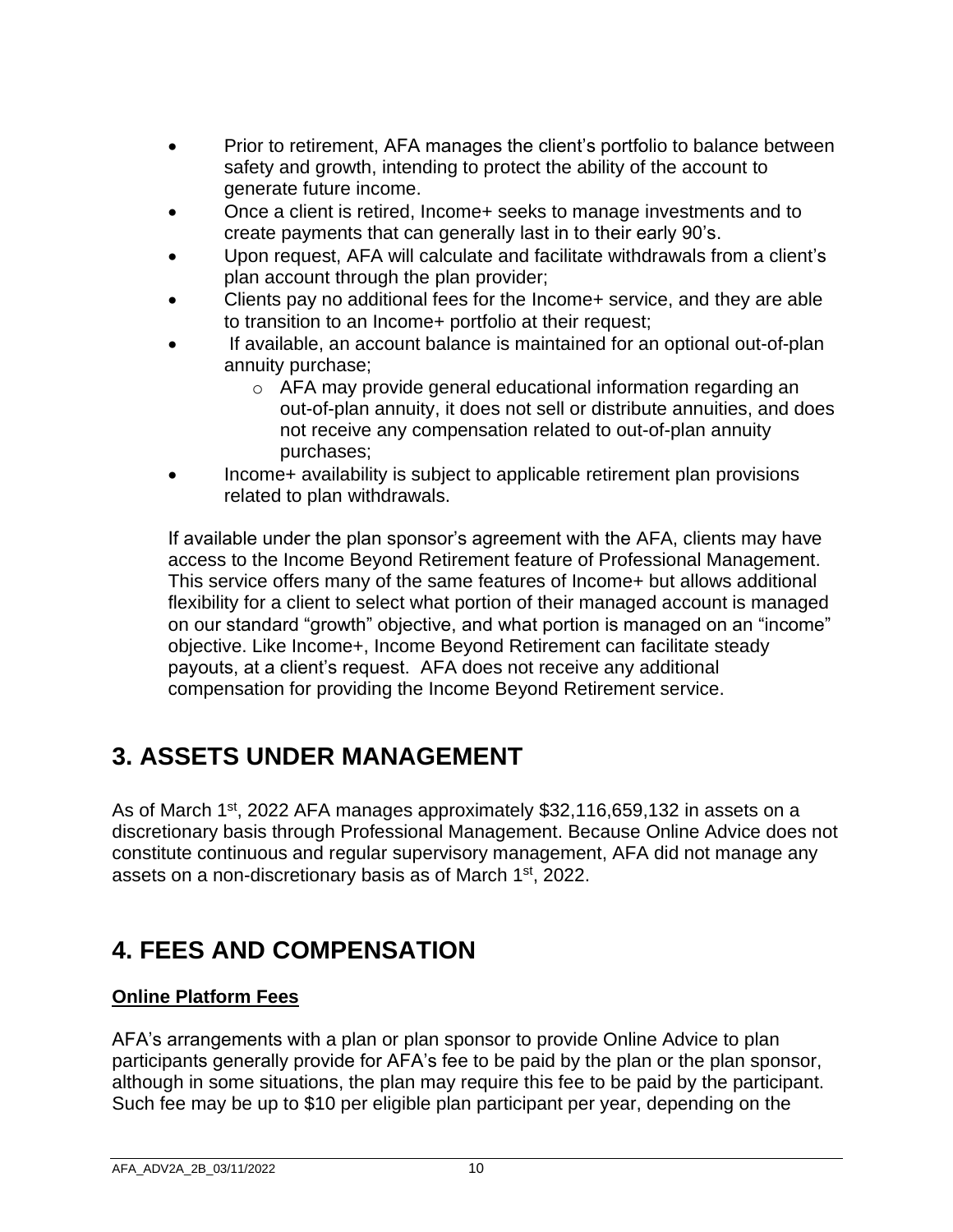- Prior to retirement, AFA manages the client's portfolio to balance between safety and growth, intending to protect the ability of the account to generate future income.
- Once a client is retired, Income+ seeks to manage investments and to create payments that can generally last in to their early 90's.
- Upon request, AFA will calculate and facilitate withdrawals from a client's plan account through the plan provider;
- Clients pay no additional fees for the Income+ service, and they are able to transition to an Income+ portfolio at their request;
- If available, an account balance is maintained for an optional out-of-plan annuity purchase;
	- o AFA may provide general educational information regarding an out-of-plan annuity, it does not sell or distribute annuities, and does not receive any compensation related to out-of-plan annuity purchases;
- Income+ availability is subject to applicable retirement plan provisions related to plan withdrawals.

If available under the plan sponsor's agreement with the AFA, clients may have access to the Income Beyond Retirement feature of Professional Management. This service offers many of the same features of Income+ but allows additional flexibility for a client to select what portion of their managed account is managed on our standard "growth" objective, and what portion is managed on an "income" objective. Like Income+, Income Beyond Retirement can facilitate steady payouts, at a client's request. AFA does not receive any additional compensation for providing the Income Beyond Retirement service.

# **3. ASSETS UNDER MANAGEMENT**

As of March 1<sup>st</sup>, 2022 AFA manages approximately \$32,116,659,132 in assets on a discretionary basis through Professional Management. Because Online Advice does not constitute continuous and regular supervisory management, AFA did not manage any assets on a non-discretionary basis as of March 1st, 2022.

# **4. FEES AND COMPENSATION**

### **Online Platform Fees**

AFA's arrangements with a plan or plan sponsor to provide Online Advice to plan participants generally provide for AFA's fee to be paid by the plan or the plan sponsor, although in some situations, the plan may require this fee to be paid by the participant. Such fee may be up to \$10 per eligible plan participant per year, depending on the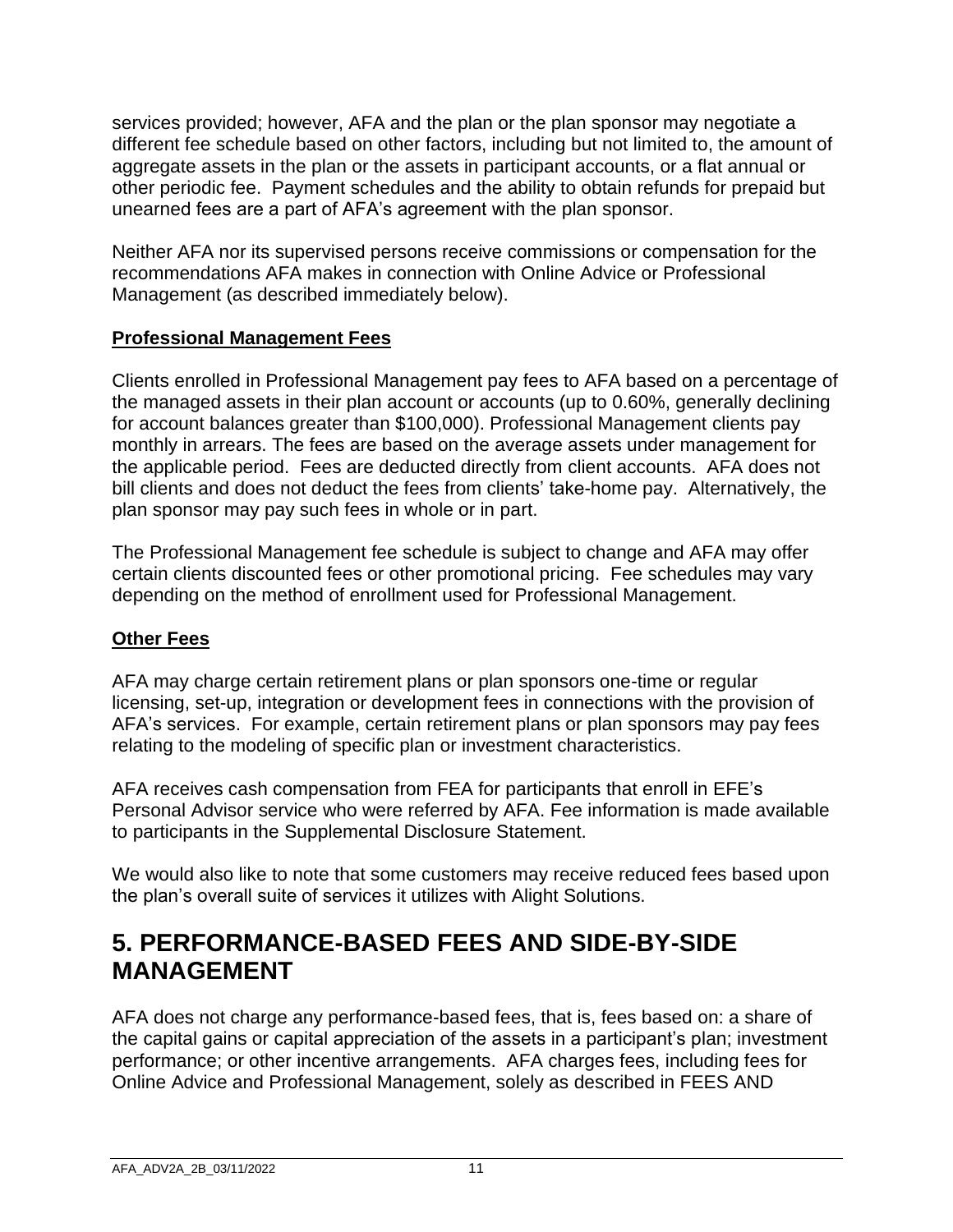services provided; however, AFA and the plan or the plan sponsor may negotiate a different fee schedule based on other factors, including but not limited to, the amount of aggregate assets in the plan or the assets in participant accounts, or a flat annual or other periodic fee. Payment schedules and the ability to obtain refunds for prepaid but unearned fees are a part of AFA's agreement with the plan sponsor.

Neither AFA nor its supervised persons receive commissions or compensation for the recommendations AFA makes in connection with Online Advice or Professional Management (as described immediately below).

### **Professional Management Fees**

Clients enrolled in Professional Management pay fees to AFA based on a percentage of the managed assets in their plan account or accounts (up to 0.60%, generally declining for account balances greater than \$100,000). Professional Management clients pay monthly in arrears. The fees are based on the average assets under management for the applicable period. Fees are deducted directly from client accounts. AFA does not bill clients and does not deduct the fees from clients' take-home pay. Alternatively, the plan sponsor may pay such fees in whole or in part.

The Professional Management fee schedule is subject to change and AFA may offer certain clients discounted fees or other promotional pricing. Fee schedules may vary depending on the method of enrollment used for Professional Management.

### **Other Fees**

AFA may charge certain retirement plans or plan sponsors one-time or regular licensing, set-up, integration or development fees in connections with the provision of AFA's services. For example, certain retirement plans or plan sponsors may pay fees relating to the modeling of specific plan or investment characteristics.

AFA receives cash compensation from FEA for participants that enroll in EFE's Personal Advisor service who were referred by AFA. Fee information is made available to participants in the Supplemental Disclosure Statement.

We would also like to note that some customers may receive reduced fees based upon the plan's overall suite of services it utilizes with Alight Solutions.

## **5. PERFORMANCE-BASED FEES AND SIDE-BY-SIDE MANAGEMENT**

AFA does not charge any performance-based fees, that is, fees based on: a share of the capital gains or capital appreciation of the assets in a participant's plan; investment performance; or other incentive arrangements. AFA charges fees, including fees for Online Advice and Professional Management, solely as described in FEES AND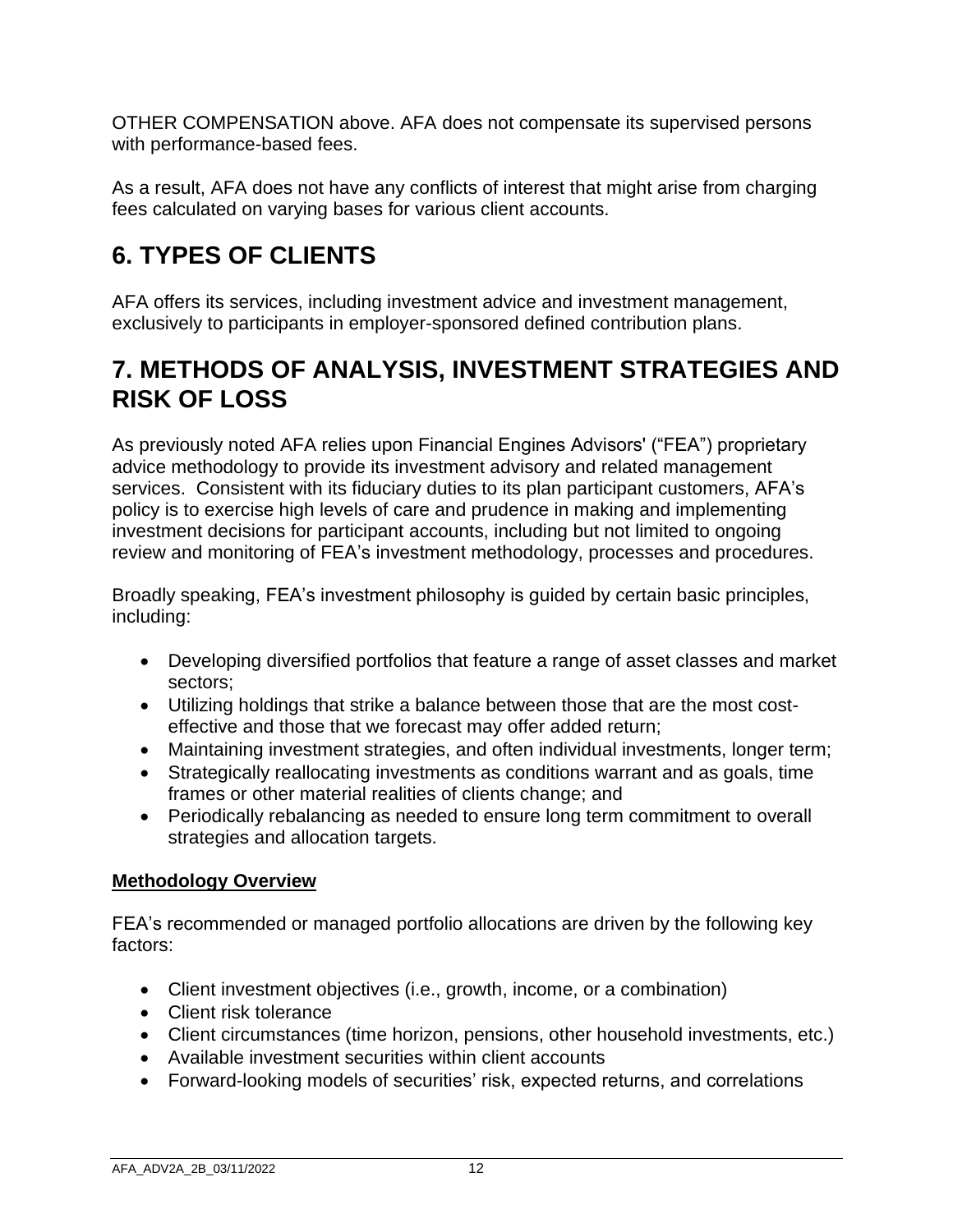OTHER COMPENSATION above. AFA does not compensate its supervised persons with performance-based fees.

As a result, AFA does not have any conflicts of interest that might arise from charging fees calculated on varying bases for various client accounts.

# **6. TYPES OF CLIENTS**

AFA offers its services, including investment advice and investment management, exclusively to participants in employer-sponsored defined contribution plans.

## **7. METHODS OF ANALYSIS, INVESTMENT STRATEGIES AND RISK OF LOSS**

As previously noted AFA relies upon Financial Engines Advisors' ("FEA") proprietary advice methodology to provide its investment advisory and related management services. Consistent with its fiduciary duties to its plan participant customers, AFA's policy is to exercise high levels of care and prudence in making and implementing investment decisions for participant accounts, including but not limited to ongoing review and monitoring of FEA's investment methodology, processes and procedures.

Broadly speaking, FEA's investment philosophy is guided by certain basic principles, including:

- Developing diversified portfolios that feature a range of asset classes and market sectors;
- Utilizing holdings that strike a balance between those that are the most costeffective and those that we forecast may offer added return;
- Maintaining investment strategies, and often individual investments, longer term;
- Strategically reallocating investments as conditions warrant and as goals, time frames or other material realities of clients change; and
- Periodically rebalancing as needed to ensure long term commitment to overall strategies and allocation targets.

### **Methodology Overview**

FEA's recommended or managed portfolio allocations are driven by the following key factors:

- Client investment objectives (i.e., growth, income, or a combination)
- Client risk tolerance
- Client circumstances (time horizon, pensions, other household investments, etc.)
- Available investment securities within client accounts
- Forward-looking models of securities' risk, expected returns, and correlations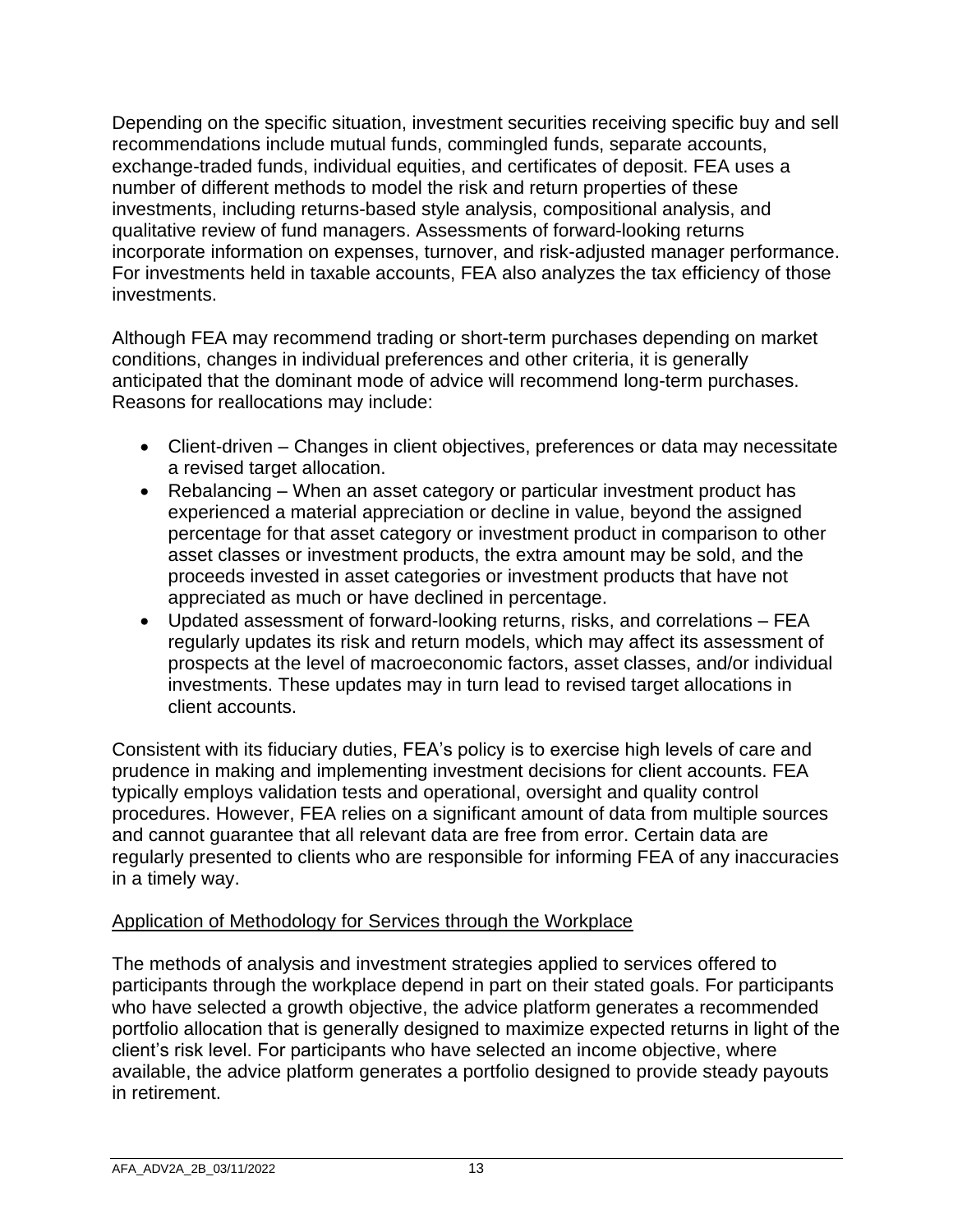Depending on the specific situation, investment securities receiving specific buy and sell recommendations include mutual funds, commingled funds, separate accounts, exchange-traded funds, individual equities, and certificates of deposit. FEA uses a number of different methods to model the risk and return properties of these investments, including returns-based style analysis, compositional analysis, and qualitative review of fund managers. Assessments of forward-looking returns incorporate information on expenses, turnover, and risk-adjusted manager performance. For investments held in taxable accounts, FEA also analyzes the tax efficiency of those investments.

Although FEA may recommend trading or short-term purchases depending on market conditions, changes in individual preferences and other criteria, it is generally anticipated that the dominant mode of advice will recommend long-term purchases. Reasons for reallocations may include:

- Client-driven Changes in client objectives, preferences or data may necessitate a revised target allocation.
- Rebalancing When an asset category or particular investment product has experienced a material appreciation or decline in value, beyond the assigned percentage for that asset category or investment product in comparison to other asset classes or investment products, the extra amount may be sold, and the proceeds invested in asset categories or investment products that have not appreciated as much or have declined in percentage.
- Updated assessment of forward-looking returns, risks, and correlations FEA regularly updates its risk and return models, which may affect its assessment of prospects at the level of macroeconomic factors, asset classes, and/or individual investments. These updates may in turn lead to revised target allocations in client accounts.

Consistent with its fiduciary duties, FEA's policy is to exercise high levels of care and prudence in making and implementing investment decisions for client accounts. FEA typically employs validation tests and operational, oversight and quality control procedures. However, FEA relies on a significant amount of data from multiple sources and cannot guarantee that all relevant data are free from error. Certain data are regularly presented to clients who are responsible for informing FEA of any inaccuracies in a timely way.

### Application of Methodology for Services through the Workplace

The methods of analysis and investment strategies applied to services offered to participants through the workplace depend in part on their stated goals. For participants who have selected a growth objective, the advice platform generates a recommended portfolio allocation that is generally designed to maximize expected returns in light of the client's risk level. For participants who have selected an income objective, where available, the advice platform generates a portfolio designed to provide steady payouts in retirement.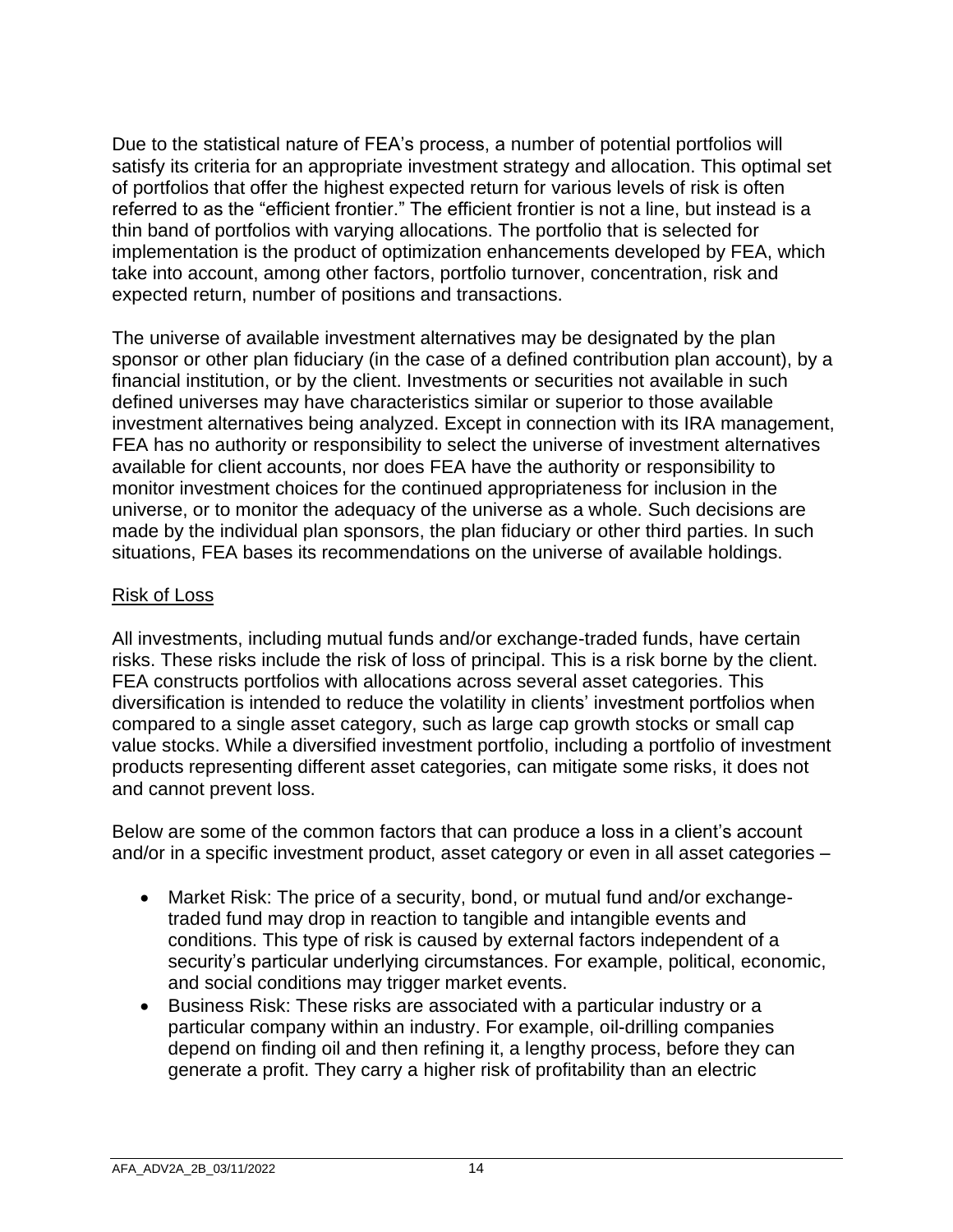Due to the statistical nature of FEA's process, a number of potential portfolios will satisfy its criteria for an appropriate investment strategy and allocation. This optimal set of portfolios that offer the highest expected return for various levels of risk is often referred to as the "efficient frontier." The efficient frontier is not a line, but instead is a thin band of portfolios with varying allocations. The portfolio that is selected for implementation is the product of optimization enhancements developed by FEA, which take into account, among other factors, portfolio turnover, concentration, risk and expected return, number of positions and transactions.

The universe of available investment alternatives may be designated by the plan sponsor or other plan fiduciary (in the case of a defined contribution plan account), by a financial institution, or by the client. Investments or securities not available in such defined universes may have characteristics similar or superior to those available investment alternatives being analyzed. Except in connection with its IRA management, FEA has no authority or responsibility to select the universe of investment alternatives available for client accounts, nor does FEA have the authority or responsibility to monitor investment choices for the continued appropriateness for inclusion in the universe, or to monitor the adequacy of the universe as a whole. Such decisions are made by the individual plan sponsors, the plan fiduciary or other third parties. In such situations, FEA bases its recommendations on the universe of available holdings.

### Risk of Loss

All investments, including mutual funds and/or exchange-traded funds, have certain risks. These risks include the risk of loss of principal. This is a risk borne by the client. FEA constructs portfolios with allocations across several asset categories. This diversification is intended to reduce the volatility in clients' investment portfolios when compared to a single asset category, such as large cap growth stocks or small cap value stocks. While a diversified investment portfolio, including a portfolio of investment products representing different asset categories, can mitigate some risks, it does not and cannot prevent loss.

Below are some of the common factors that can produce a loss in a client's account and/or in a specific investment product, asset category or even in all asset categories –

- Market Risk: The price of a security, bond, or mutual fund and/or exchangetraded fund may drop in reaction to tangible and intangible events and conditions. This type of risk is caused by external factors independent of a security's particular underlying circumstances. For example, political, economic, and social conditions may trigger market events.
- Business Risk: These risks are associated with a particular industry or a particular company within an industry. For example, oil-drilling companies depend on finding oil and then refining it, a lengthy process, before they can generate a profit. They carry a higher risk of profitability than an electric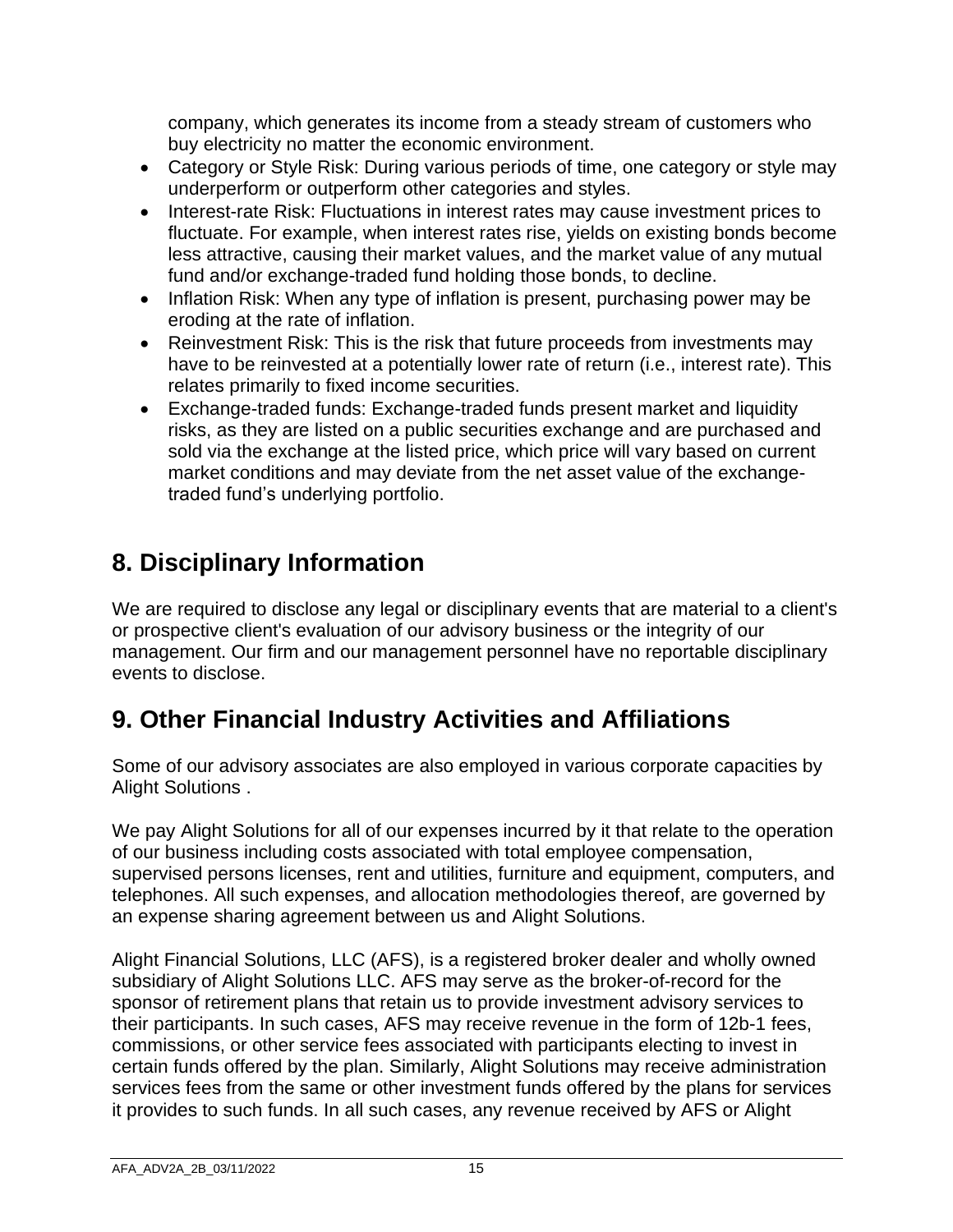company, which generates its income from a steady stream of customers who buy electricity no matter the economic environment.

- Category or Style Risk: During various periods of time, one category or style may underperform or outperform other categories and styles.
- Interest-rate Risk: Fluctuations in interest rates may cause investment prices to fluctuate. For example, when interest rates rise, yields on existing bonds become less attractive, causing their market values, and the market value of any mutual fund and/or exchange-traded fund holding those bonds, to decline.
- Inflation Risk: When any type of inflation is present, purchasing power may be eroding at the rate of inflation.
- Reinvestment Risk: This is the risk that future proceeds from investments may have to be reinvested at a potentially lower rate of return (i.e., interest rate). This relates primarily to fixed income securities.
- Exchange-traded funds: Exchange-traded funds present market and liquidity risks, as they are listed on a public securities exchange and are purchased and sold via the exchange at the listed price, which price will vary based on current market conditions and may deviate from the net asset value of the exchangetraded fund's underlying portfolio.

# **8. Disciplinary Information**

We are required to disclose any legal or disciplinary events that are material to a client's or prospective client's evaluation of our advisory business or the integrity of our management. Our firm and our management personnel have no reportable disciplinary events to disclose.

# **9. Other Financial Industry Activities and Affiliations**

Some of our advisory associates are also employed in various corporate capacities by Alight Solutions .

We pay Alight Solutions for all of our expenses incurred by it that relate to the operation of our business including costs associated with total employee compensation, supervised persons licenses, rent and utilities, furniture and equipment, computers, and telephones. All such expenses, and allocation methodologies thereof, are governed by an expense sharing agreement between us and Alight Solutions.

Alight Financial Solutions, LLC (AFS), is a registered broker dealer and wholly owned subsidiary of Alight Solutions LLC. AFS may serve as the broker-of-record for the sponsor of retirement plans that retain us to provide investment advisory services to their participants. In such cases, AFS may receive revenue in the form of 12b-1 fees, commissions, or other service fees associated with participants electing to invest in certain funds offered by the plan. Similarly, Alight Solutions may receive administration services fees from the same or other investment funds offered by the plans for services it provides to such funds. In all such cases, any revenue received by AFS or Alight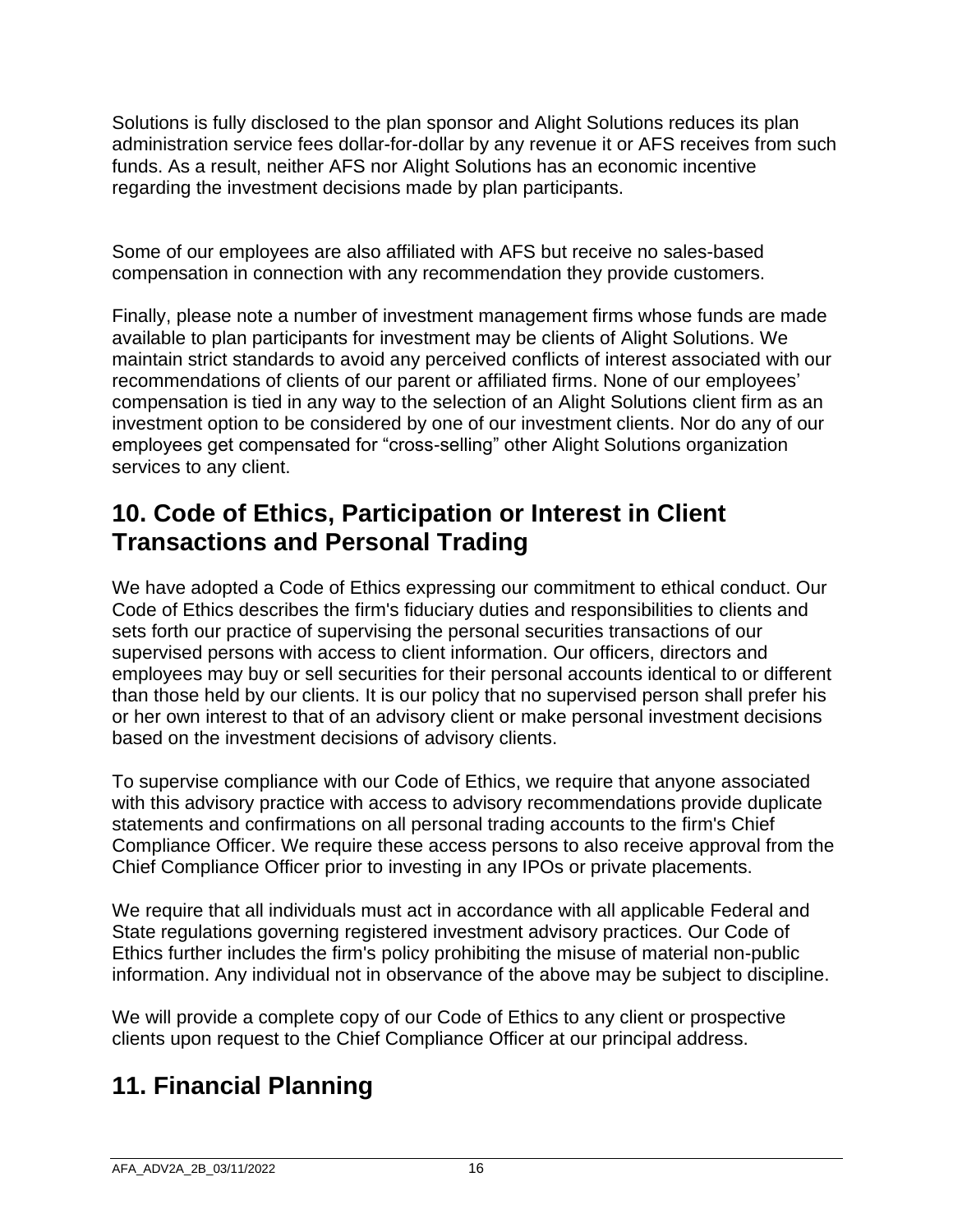Solutions is fully disclosed to the plan sponsor and Alight Solutions reduces its plan administration service fees dollar-for-dollar by any revenue it or AFS receives from such funds. As a result, neither AFS nor Alight Solutions has an economic incentive regarding the investment decisions made by plan participants.

Some of our employees are also affiliated with AFS but receive no sales-based compensation in connection with any recommendation they provide customers.

Finally, please note a number of investment management firms whose funds are made available to plan participants for investment may be clients of Alight Solutions. We maintain strict standards to avoid any perceived conflicts of interest associated with our recommendations of clients of our parent or affiliated firms. None of our employees' compensation is tied in any way to the selection of an Alight Solutions client firm as an investment option to be considered by one of our investment clients. Nor do any of our employees get compensated for "cross-selling" other Alight Solutions organization services to any client.

## **10. Code of Ethics, Participation or Interest in Client Transactions and Personal Trading**

We have adopted a Code of Ethics expressing our commitment to ethical conduct. Our Code of Ethics describes the firm's fiduciary duties and responsibilities to clients and sets forth our practice of supervising the personal securities transactions of our supervised persons with access to client information. Our officers, directors and employees may buy or sell securities for their personal accounts identical to or different than those held by our clients. It is our policy that no supervised person shall prefer his or her own interest to that of an advisory client or make personal investment decisions based on the investment decisions of advisory clients.

To supervise compliance with our Code of Ethics, we require that anyone associated with this advisory practice with access to advisory recommendations provide duplicate statements and confirmations on all personal trading accounts to the firm's Chief Compliance Officer. We require these access persons to also receive approval from the Chief Compliance Officer prior to investing in any IPOs or private placements.

We require that all individuals must act in accordance with all applicable Federal and State regulations governing registered investment advisory practices. Our Code of Ethics further includes the firm's policy prohibiting the misuse of material non-public information. Any individual not in observance of the above may be subject to discipline.

We will provide a complete copy of our Code of Ethics to any client or prospective clients upon request to the Chief Compliance Officer at our principal address.

# **11. Financial Planning**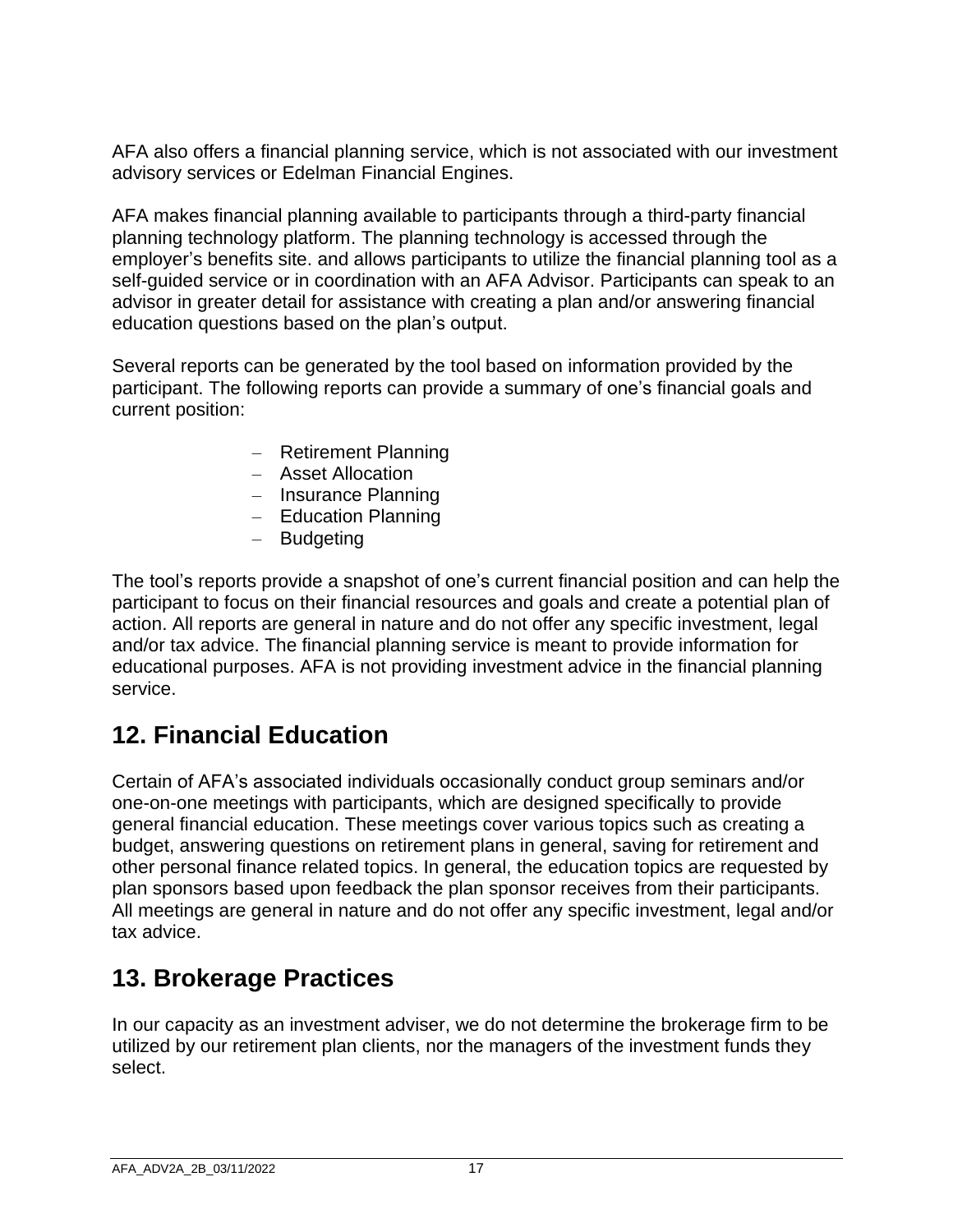AFA also offers a financial planning service, which is not associated with our investment advisory services or Edelman Financial Engines.

AFA makes financial planning available to participants through a third-party financial planning technology platform. The planning technology is accessed through the employer's benefits site. and allows participants to utilize the financial planning tool as a self-guided service or in coordination with an AFA Advisor. Participants can speak to an advisor in greater detail for assistance with creating a plan and/or answering financial education questions based on the plan's output.

Several reports can be generated by the tool based on information provided by the participant. The following reports can provide a summary of one's financial goals and current position:

- Retirement Planning
- Asset Allocation
- Insurance Planning
- Education Planning
- Budgeting

The tool's reports provide a snapshot of one's current financial position and can help the participant to focus on their financial resources and goals and create a potential plan of action. All reports are general in nature and do not offer any specific investment, legal and/or tax advice. The financial planning service is meant to provide information for educational purposes. AFA is not providing investment advice in the financial planning service.

## **12. Financial Education**

Certain of AFA's associated individuals occasionally conduct group seminars and/or one-on-one meetings with participants, which are designed specifically to provide general financial education. These meetings cover various topics such as creating a budget, answering questions on retirement plans in general, saving for retirement and other personal finance related topics. In general, the education topics are requested by plan sponsors based upon feedback the plan sponsor receives from their participants. All meetings are general in nature and do not offer any specific investment, legal and/or tax advice.

## **13. Brokerage Practices**

In our capacity as an investment adviser, we do not determine the brokerage firm to be utilized by our retirement plan clients, nor the managers of the investment funds they select.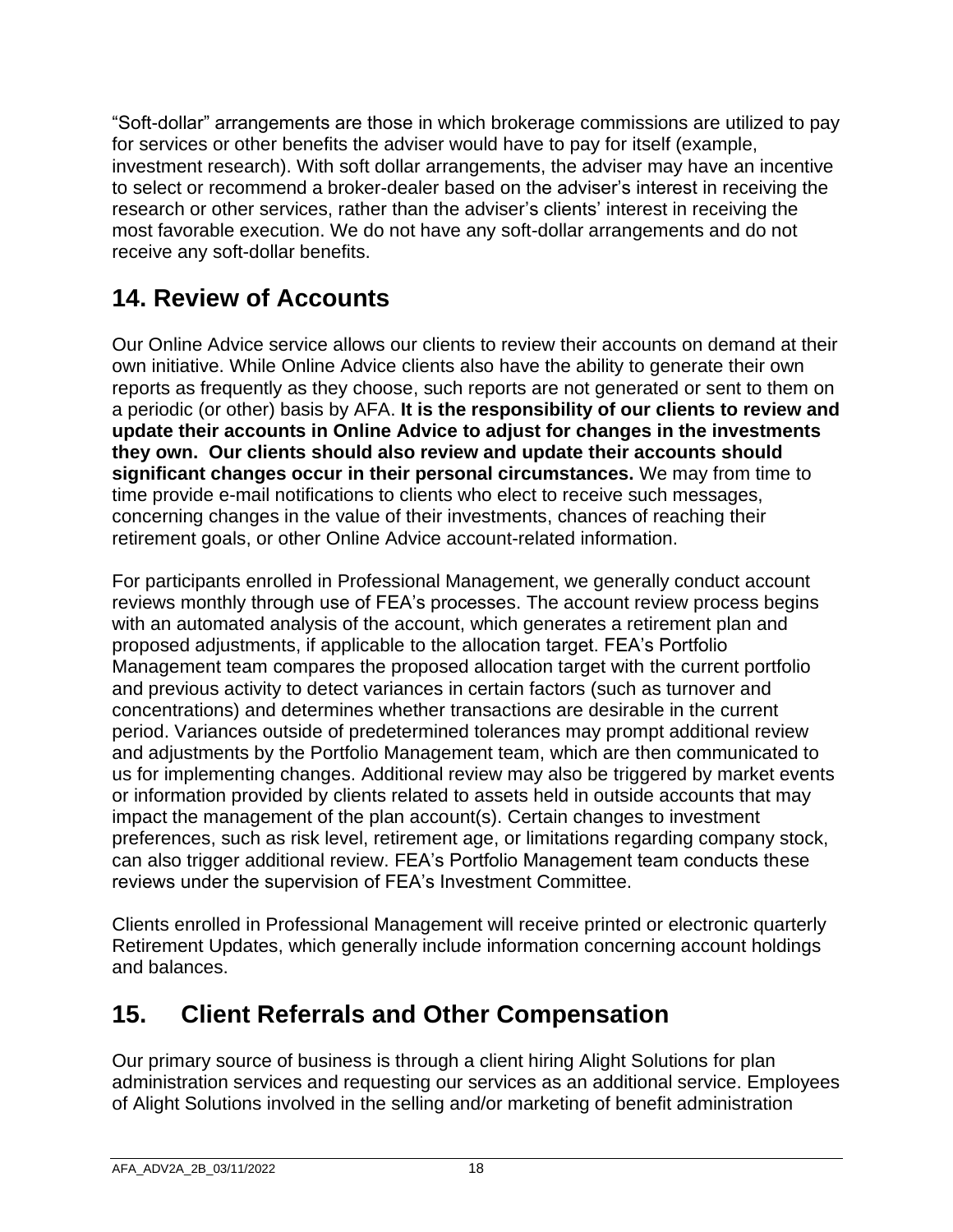"Soft-dollar" arrangements are those in which brokerage commissions are utilized to pay for services or other benefits the adviser would have to pay for itself (example, investment research). With soft dollar arrangements, the adviser may have an incentive to select or recommend a broker-dealer based on the adviser's interest in receiving the research or other services, rather than the adviser's clients' interest in receiving the most favorable execution. We do not have any soft-dollar arrangements and do not receive any soft-dollar benefits.

# **14. Review of Accounts**

Our Online Advice service allows our clients to review their accounts on demand at their own initiative. While Online Advice clients also have the ability to generate their own reports as frequently as they choose, such reports are not generated or sent to them on a periodic (or other) basis by AFA. **It is the responsibility of our clients to review and update their accounts in Online Advice to adjust for changes in the investments they own. Our clients should also review and update their accounts should significant changes occur in their personal circumstances.** We may from time to time provide e-mail notifications to clients who elect to receive such messages, concerning changes in the value of their investments, chances of reaching their retirement goals, or other Online Advice account-related information.

For participants enrolled in Professional Management, we generally conduct account reviews monthly through use of FEA's processes. The account review process begins with an automated analysis of the account, which generates a retirement plan and proposed adjustments, if applicable to the allocation target. FEA's Portfolio Management team compares the proposed allocation target with the current portfolio and previous activity to detect variances in certain factors (such as turnover and concentrations) and determines whether transactions are desirable in the current period. Variances outside of predetermined tolerances may prompt additional review and adjustments by the Portfolio Management team, which are then communicated to us for implementing changes. Additional review may also be triggered by market events or information provided by clients related to assets held in outside accounts that may impact the management of the plan account(s). Certain changes to investment preferences, such as risk level, retirement age, or limitations regarding company stock, can also trigger additional review. FEA's Portfolio Management team conducts these reviews under the supervision of FEA's Investment Committee.

Clients enrolled in Professional Management will receive printed or electronic quarterly Retirement Updates, which generally include information concerning account holdings and balances.

# **15. Client Referrals and Other Compensation**

Our primary source of business is through a client hiring Alight Solutions for plan administration services and requesting our services as an additional service. Employees of Alight Solutions involved in the selling and/or marketing of benefit administration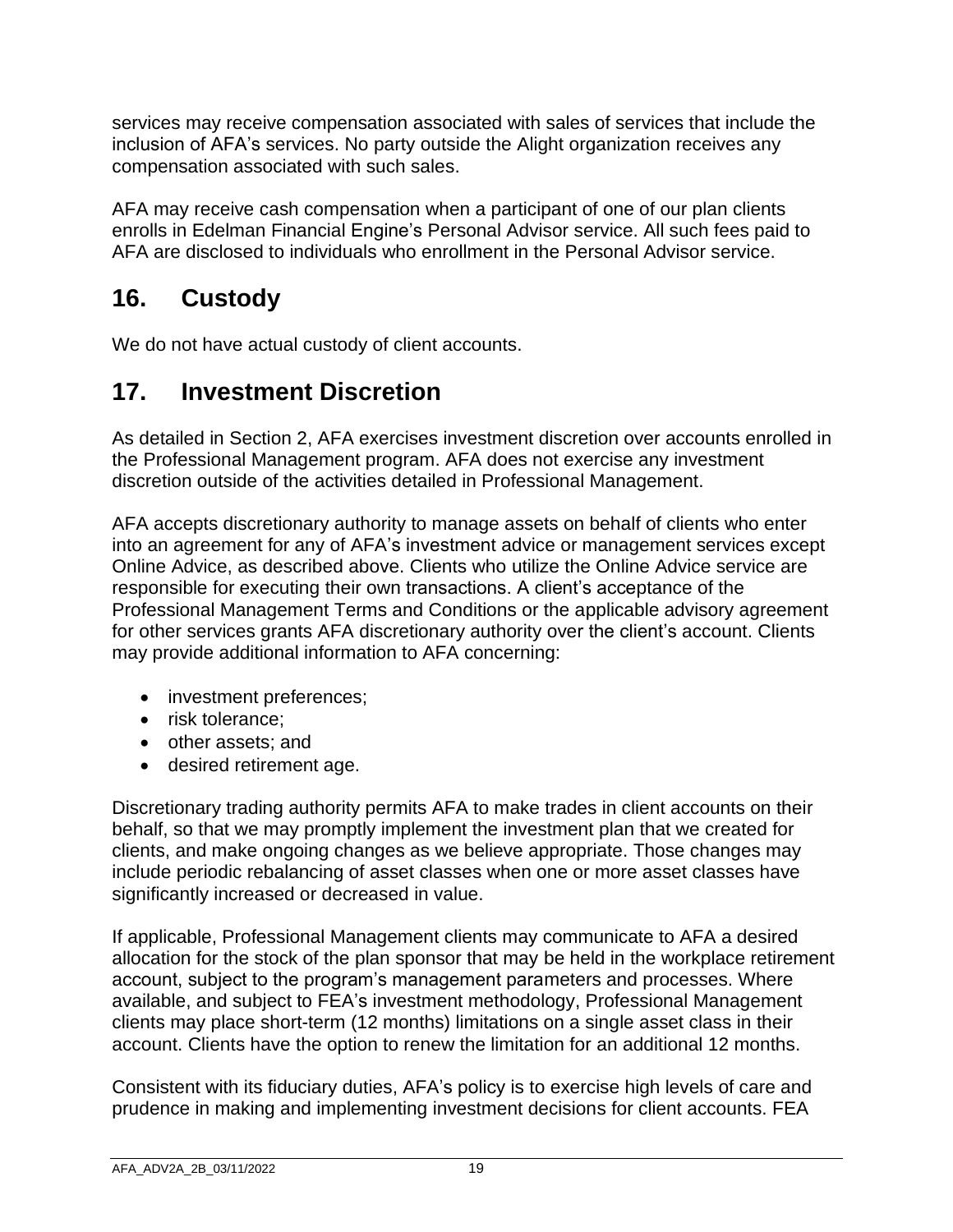services may receive compensation associated with sales of services that include the inclusion of AFA's services. No party outside the Alight organization receives any compensation associated with such sales.

AFA may receive cash compensation when a participant of one of our plan clients enrolls in Edelman Financial Engine's Personal Advisor service. All such fees paid to AFA are disclosed to individuals who enrollment in the Personal Advisor service.

# **16. Custody**

We do not have actual custody of client accounts.

# **17. Investment Discretion**

As detailed in Section 2, AFA exercises investment discretion over accounts enrolled in the Professional Management program. AFA does not exercise any investment discretion outside of the activities detailed in Professional Management.

AFA accepts discretionary authority to manage assets on behalf of clients who enter into an agreement for any of AFA's investment advice or management services except Online Advice, as described above. Clients who utilize the Online Advice service are responsible for executing their own transactions. A client's acceptance of the Professional Management Terms and Conditions or the applicable advisory agreement for other services grants AFA discretionary authority over the client's account. Clients may provide additional information to AFA concerning:

- investment preferences;
- risk tolerance:
- other assets; and
- desired retirement age.

Discretionary trading authority permits AFA to make trades in client accounts on their behalf, so that we may promptly implement the investment plan that we created for clients, and make ongoing changes as we believe appropriate. Those changes may include periodic rebalancing of asset classes when one or more asset classes have significantly increased or decreased in value.

If applicable, Professional Management clients may communicate to AFA a desired allocation for the stock of the plan sponsor that may be held in the workplace retirement account, subject to the program's management parameters and processes. Where available, and subject to FEA's investment methodology, Professional Management clients may place short-term (12 months) limitations on a single asset class in their account. Clients have the option to renew the limitation for an additional 12 months.

Consistent with its fiduciary duties, AFA's policy is to exercise high levels of care and prudence in making and implementing investment decisions for client accounts. FEA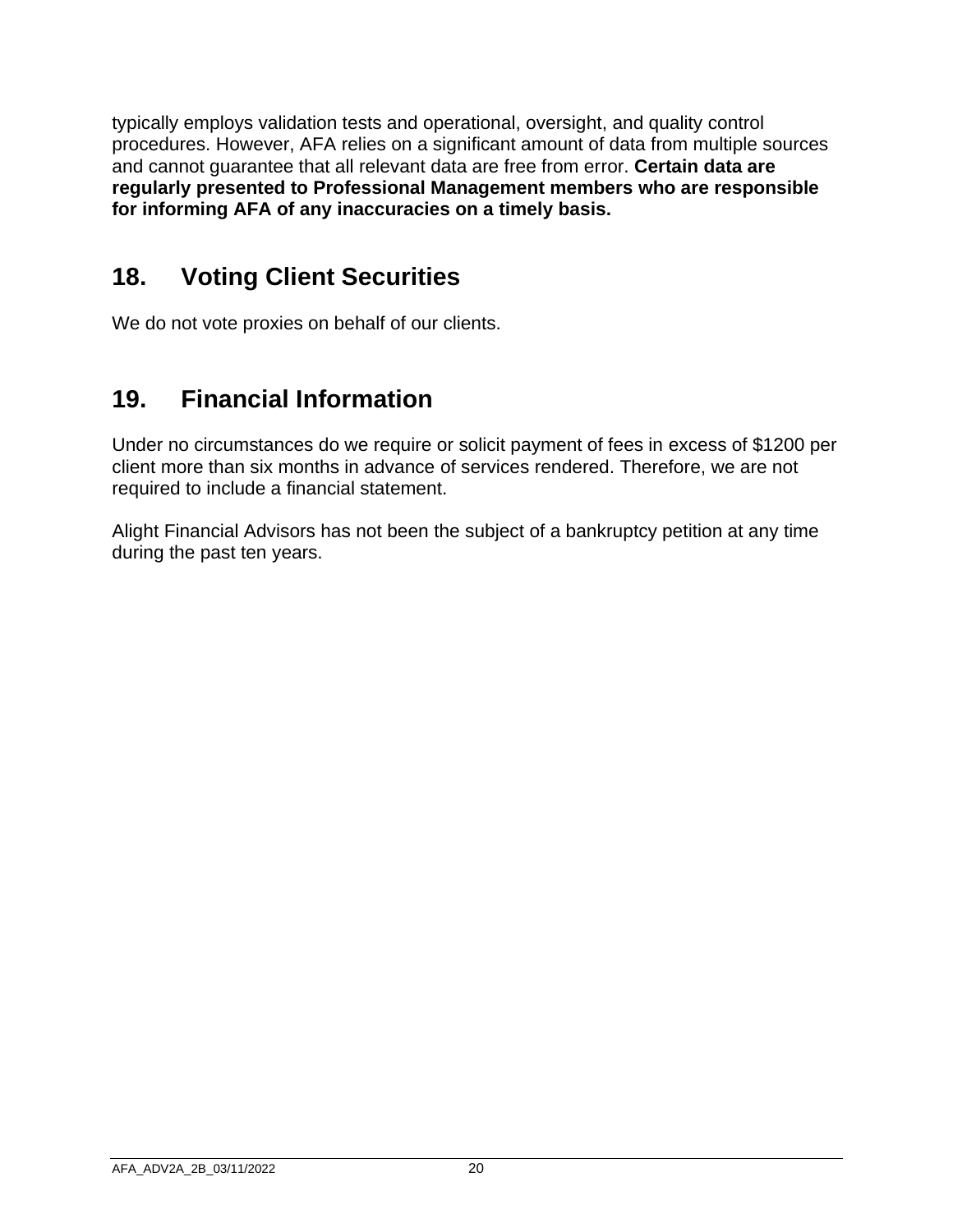typically employs validation tests and operational, oversight, and quality control procedures. However, AFA relies on a significant amount of data from multiple sources and cannot guarantee that all relevant data are free from error. **Certain data are regularly presented to Professional Management members who are responsible for informing AFA of any inaccuracies on a timely basis.**

## **18. Voting Client Securities**

We do not vote proxies on behalf of our clients.

# **19. Financial Information**

Under no circumstances do we require or solicit payment of fees in excess of \$1200 per client more than six months in advance of services rendered. Therefore, we are not required to include a financial statement.

Alight Financial Advisors has not been the subject of a bankruptcy petition at any time during the past ten years.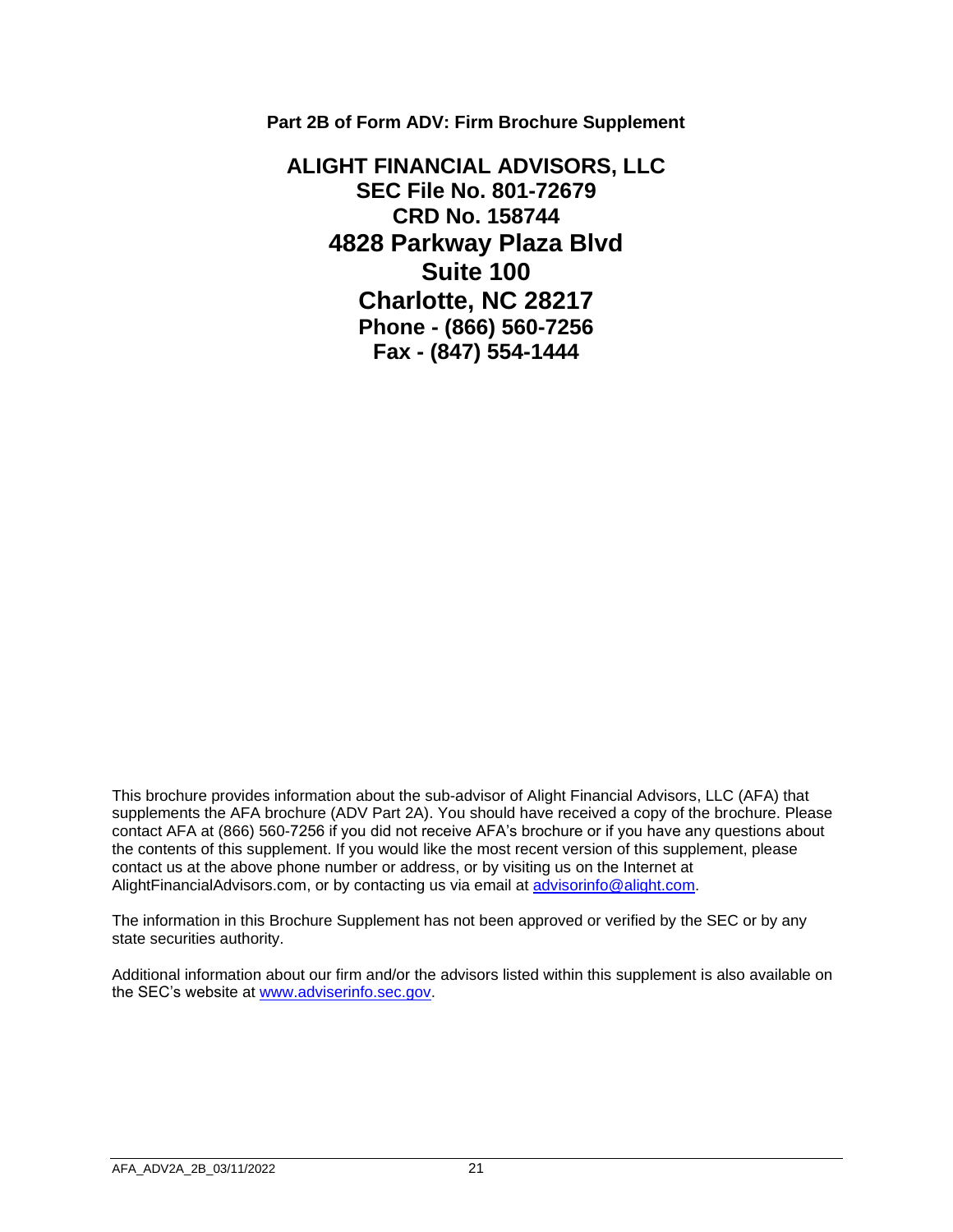**Part 2B of Form ADV: Firm Brochure Supplement**

**ALIGHT FINANCIAL ADVISORS, LLC SEC File No. 801-72679 CRD No. 158744 4828 Parkway Plaza Blvd Suite 100 Charlotte, NC 28217 Phone - (866) 560-7256 Fax - (847) 554-1444** 

This brochure provides information about the sub-advisor of Alight Financial Advisors, LLC (AFA) that supplements the AFA brochure (ADV Part 2A). You should have received a copy of the brochure. Please contact AFA at (866) 560-7256 if you did not receive AFA's brochure or if you have any questions about the contents of this supplement. If you would like the most recent version of this supplement, please contact us at the above phone number or address, or by visiting us on the Internet at AlightFinancialAdvisors.com, or by contacting us via email at advisorinfo@alight.com.

The information in this Brochure Supplement has not been approved or verified by the SEC or by any state securities authority.

Additional information about our firm and/or the advisors listed within this supplement is also available on the SEC's website at [www.adviserinfo.sec.gov.](http://www.adviserinfo.sec.gov/)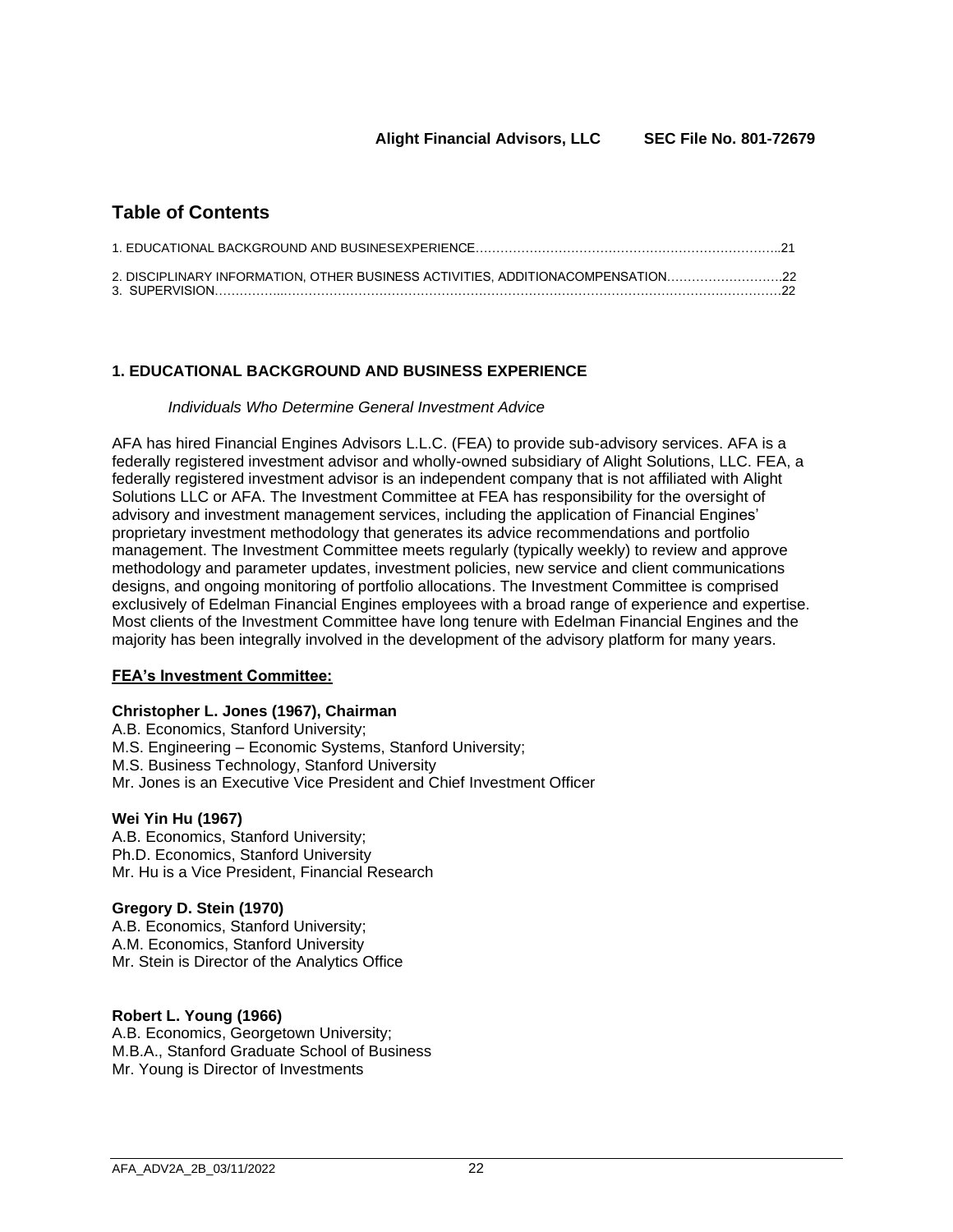### **Table of Contents**

| 2. DISCIPLINARY INFORMATION, OTHER BUSINESS ACTIVITIES, ADDITIONACOMPENSATION22 |  |
|---------------------------------------------------------------------------------|--|
|                                                                                 |  |

#### **1. EDUCATIONAL BACKGROUND AND BUSINESS EXPERIENCE**

#### *Individuals Who Determine General Investment Advice*

AFA has hired Financial Engines Advisors L.L.C. (FEA) to provide sub-advisory services. AFA is a federally registered investment advisor and wholly-owned subsidiary of Alight Solutions, LLC. FEA, a federally registered investment advisor is an independent company that is not affiliated with Alight Solutions LLC or AFA. The Investment Committee at FEA has responsibility for the oversight of advisory and investment management services, including the application of Financial Engines' proprietary investment methodology that generates its advice recommendations and portfolio management. The Investment Committee meets regularly (typically weekly) to review and approve methodology and parameter updates, investment policies, new service and client communications designs, and ongoing monitoring of portfolio allocations. The Investment Committee is comprised exclusively of Edelman Financial Engines employees with a broad range of experience and expertise. Most clients of the Investment Committee have long tenure with Edelman Financial Engines and the majority has been integrally involved in the development of the advisory platform for many years.

#### **FEA's Investment Committee:**

#### **Christopher L. Jones (1967), Chairman**

A.B. Economics, Stanford University; M.S. Engineering – Economic Systems, Stanford University; M.S. Business Technology, Stanford University Mr. Jones is an Executive Vice President and Chief Investment Officer

#### **Wei Yin Hu (1967)**

A.B. Economics, Stanford University; Ph.D. Economics, Stanford University Mr. Hu is a Vice President, Financial Research

#### **Gregory D. Stein (1970)**

A.B. Economics, Stanford University; A.M. Economics, Stanford University Mr. Stein is Director of the Analytics Office

#### **Robert L. Young (1966)**

A.B. Economics, Georgetown University; M.B.A., Stanford Graduate School of Business Mr. Young is Director of Investments